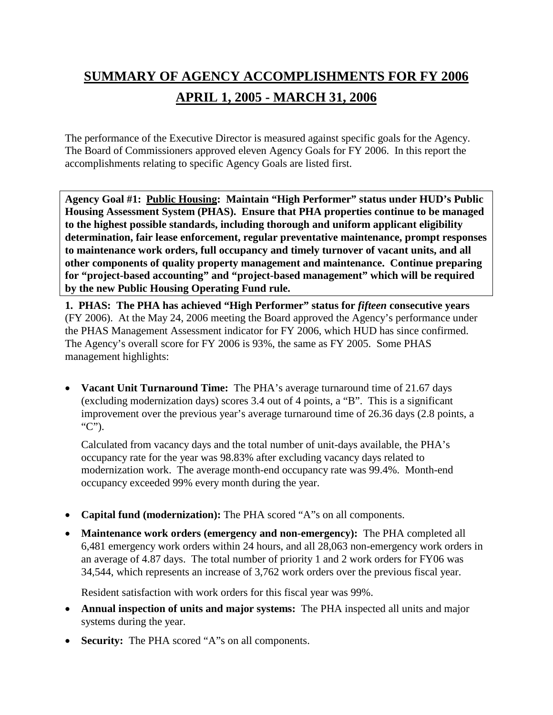# **SUMMARY OF AGENCY ACCOMPLISHMENTS FOR FY 2006 APRIL 1, 2005 - MARCH 31, 2006**

The performance of the Executive Director is measured against specific goals for the Agency. The Board of Commissioners approved eleven Agency Goals for FY 2006. In this report the accomplishments relating to specific Agency Goals are listed first.

**Agency Goal #1: Public Housing: Maintain "High Performer" status under HUD's Public Housing Assessment System (PHAS). Ensure that PHA properties continue to be managed to the highest possible standards, including thorough and uniform applicant eligibility determination, fair lease enforcement, regular preventative maintenance, prompt responses to maintenance work orders, full occupancy and timely turnover of vacant units, and all other components of quality property management and maintenance. Continue preparing for "project-based accounting" and "project-based management" which will be required by the new Public Housing Operating Fund rule.**

**1. PHAS: The PHA has achieved "High Performer" status for** *fifteen* **consecutive years**  (FY 2006). At the May 24, 2006 meeting the Board approved the Agency's performance under the PHAS Management Assessment indicator for FY 2006, which HUD has since confirmed. The Agency's overall score for FY 2006 is 93%, the same as FY 2005. Some PHAS management highlights:

• **Vacant Unit Turnaround Time:** The PHA's average turnaround time of 21.67 days (excluding modernization days) scores 3.4 out of 4 points, a "B". This is a significant improvement over the previous year's average turnaround time of 26.36 days (2.8 points, a "C").

Calculated from vacancy days and the total number of unit-days available, the PHA's occupancy rate for the year was 98.83% after excluding vacancy days related to modernization work. The average month-end occupancy rate was 99.4%. Month-end occupancy exceeded 99% every month during the year.

- **Capital fund (modernization):** The PHA scored "A"s on all components.
- **Maintenance work orders (emergency and non-emergency):** The PHA completed all 6,481 emergency work orders within 24 hours, and all 28,063 non-emergency work orders in an average of 4.87 days. The total number of priority 1 and 2 work orders for FY06 was 34,544, which represents an increase of 3,762 work orders over the previous fiscal year.

Resident satisfaction with work orders for this fiscal year was 99%.

- **Annual inspection of units and major systems:** The PHA inspected all units and major systems during the year.
- **Security:** The PHA scored "A"s on all components.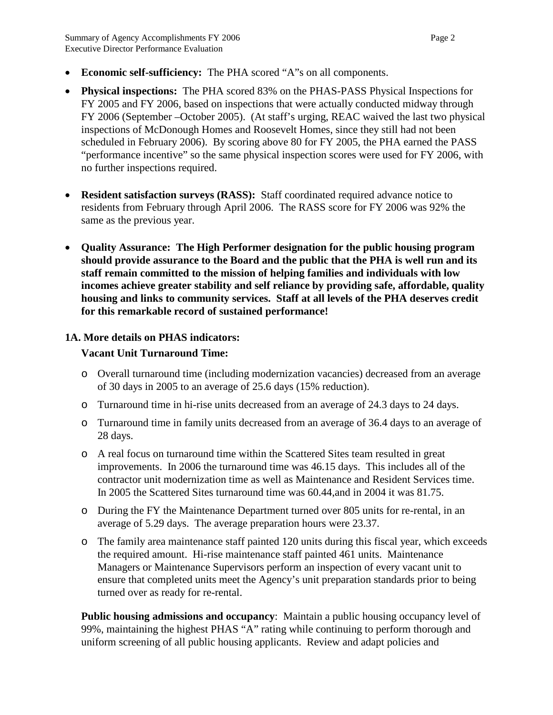- **Economic self-sufficiency:** The PHA scored "A"s on all components.
- **Physical inspections:** The PHA scored 83% on the PHAS-PASS Physical Inspections for FY 2005 and FY 2006, based on inspections that were actually conducted midway through FY 2006 (September –October 2005). (At staff's urging, REAC waived the last two physical inspections of McDonough Homes and Roosevelt Homes, since they still had not been scheduled in February 2006). By scoring above 80 for FY 2005, the PHA earned the PASS "performance incentive" so the same physical inspection scores were used for FY 2006, with no further inspections required.
- **Resident satisfaction surveys (RASS):** Staff coordinated required advance notice to residents from February through April 2006. The RASS score for FY 2006 was 92% the same as the previous year.
- **Quality Assurance: The High Performer designation for the public housing program should provide assurance to the Board and the public that the PHA is well run and its staff remain committed to the mission of helping families and individuals with low incomes achieve greater stability and self reliance by providing safe, affordable, quality housing and links to community services. Staff at all levels of the PHA deserves credit for this remarkable record of sustained performance!**

## **1A. More details on PHAS indicators:**

## **Vacant Unit Turnaround Time:**

- o Overall turnaround time (including modernization vacancies) decreased from an average of 30 days in 2005 to an average of 25.6 days (15% reduction).
- o Turnaround time in hi-rise units decreased from an average of 24.3 days to 24 days.
- o Turnaround time in family units decreased from an average of 36.4 days to an average of 28 days.
- o A real focus on turnaround time within the Scattered Sites team resulted in great improvements. In 2006 the turnaround time was 46.15 days. This includes all of the contractor unit modernization time as well as Maintenance and Resident Services time. In 2005 the Scattered Sites turnaround time was 60.44,and in 2004 it was 81.75.
- o During the FY the Maintenance Department turned over 805 units for re-rental, in an average of 5.29 days. The average preparation hours were 23.37.
- o The family area maintenance staff painted 120 units during this fiscal year, which exceeds the required amount. Hi-rise maintenance staff painted 461 units. Maintenance Managers or Maintenance Supervisors perform an inspection of every vacant unit to ensure that completed units meet the Agency's unit preparation standards prior to being turned over as ready for re-rental.

**Public housing admissions and occupancy:** Maintain a public housing occupancy level of 99%, maintaining the highest PHAS "A" rating while continuing to perform thorough and uniform screening of all public housing applicants. Review and adapt policies and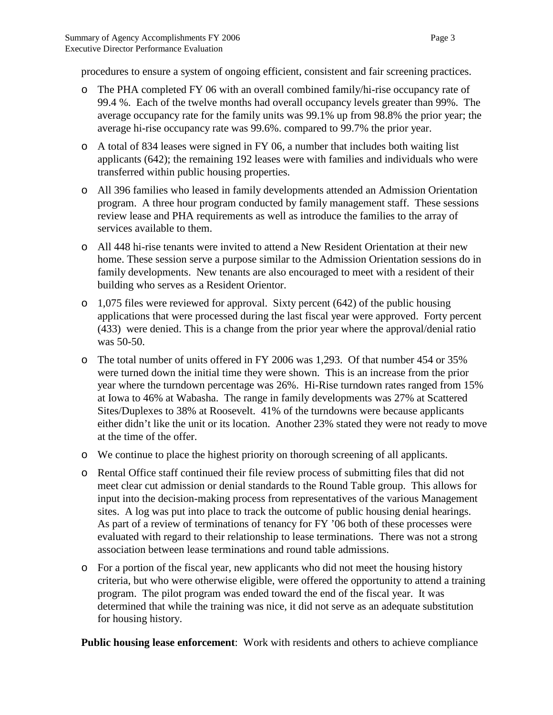procedures to ensure a system of ongoing efficient, consistent and fair screening practices.

- o The PHA completed FY 06 with an overall combined family/hi-rise occupancy rate of 99.4 %. Each of the twelve months had overall occupancy levels greater than 99%. The average occupancy rate for the family units was 99.1% up from 98.8% the prior year; the average hi-rise occupancy rate was 99.6%. compared to 99.7% the prior year.
- o A total of 834 leases were signed in FY 06, a number that includes both waiting list applicants (642); the remaining 192 leases were with families and individuals who were transferred within public housing properties.
- o All 396 families who leased in family developments attended an Admission Orientation program. A three hour program conducted by family management staff. These sessions review lease and PHA requirements as well as introduce the families to the array of services available to them.
- o All 448 hi-rise tenants were invited to attend a New Resident Orientation at their new home. These session serve a purpose similar to the Admission Orientation sessions do in family developments. New tenants are also encouraged to meet with a resident of their building who serves as a Resident Orientor.
- o 1,075 files were reviewed for approval. Sixty percent (642) of the public housing applications that were processed during the last fiscal year were approved. Forty percent (433) were denied. This is a change from the prior year where the approval/denial ratio was 50-50.
- o The total number of units offered in FY 2006 was 1,293. Of that number 454 or 35% were turned down the initial time they were shown. This is an increase from the prior year where the turndown percentage was 26%. Hi-Rise turndown rates ranged from 15% at Iowa to 46% at Wabasha. The range in family developments was 27% at Scattered Sites/Duplexes to 38% at Roosevelt. 41% of the turndowns were because applicants either didn't like the unit or its location. Another 23% stated they were not ready to move at the time of the offer.
- o We continue to place the highest priority on thorough screening of all applicants.
- o Rental Office staff continued their file review process of submitting files that did not meet clear cut admission or denial standards to the Round Table group. This allows for input into the decision-making process from representatives of the various Management sites. A log was put into place to track the outcome of public housing denial hearings. As part of a review of terminations of tenancy for FY '06 both of these processes were evaluated with regard to their relationship to lease terminations. There was not a strong association between lease terminations and round table admissions.
- o For a portion of the fiscal year, new applicants who did not meet the housing history criteria, but who were otherwise eligible, were offered the opportunity to attend a training program. The pilot program was ended toward the end of the fiscal year. It was determined that while the training was nice, it did not serve as an adequate substitution for housing history.

**Public housing lease enforcement**: Work with residents and others to achieve compliance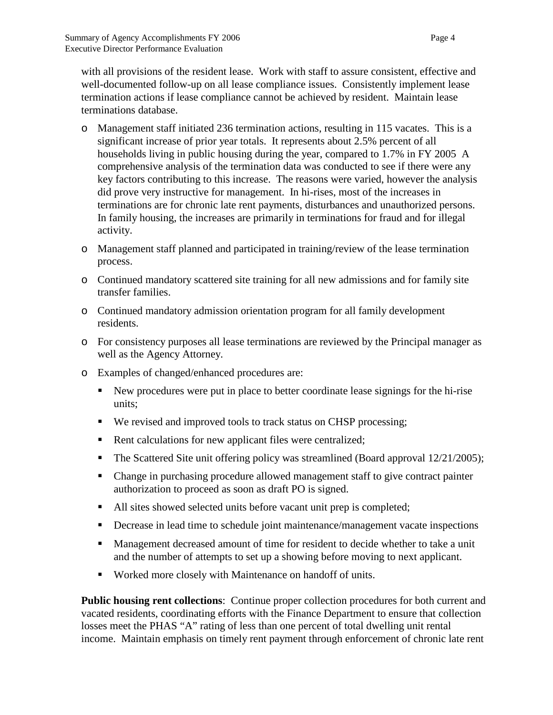with all provisions of the resident lease. Work with staff to assure consistent, effective and well-documented follow-up on all lease compliance issues. Consistently implement lease termination actions if lease compliance cannot be achieved by resident. Maintain lease terminations database.

- o Management staff initiated 236 termination actions, resulting in 115 vacates. This is a significant increase of prior year totals. It represents about 2.5% percent of all households living in public housing during the year, compared to 1.7% in FY 2005 A comprehensive analysis of the termination data was conducted to see if there were any key factors contributing to this increase. The reasons were varied, however the analysis did prove very instructive for management. In hi-rises, most of the increases in terminations are for chronic late rent payments, disturbances and unauthorized persons. In family housing, the increases are primarily in terminations for fraud and for illegal activity.
- o Management staff planned and participated in training/review of the lease termination process.
- o Continued mandatory scattered site training for all new admissions and for family site transfer families.
- o Continued mandatory admission orientation program for all family development residents.
- o For consistency purposes all lease terminations are reviewed by the Principal manager as well as the Agency Attorney.
- o Examples of changed/enhanced procedures are:
	- New procedures were put in place to better coordinate lease signings for the hi-rise units;
	- We revised and improved tools to track status on CHSP processing;
	- Rent calculations for new applicant files were centralized;
	- The Scattered Site unit offering policy was streamlined (Board approval  $12/21/2005$ );
	- Change in purchasing procedure allowed management staff to give contract painter authorization to proceed as soon as draft PO is signed.
	- All sites showed selected units before vacant unit prep is completed;
	- Decrease in lead time to schedule joint maintenance/management vacate inspections
	- Management decreased amount of time for resident to decide whether to take a unit and the number of attempts to set up a showing before moving to next applicant.
	- Worked more closely with Maintenance on handoff of units.

**Public housing rent collections**: Continue proper collection procedures for both current and vacated residents, coordinating efforts with the Finance Department to ensure that collection losses meet the PHAS "A" rating of less than one percent of total dwelling unit rental income. Maintain emphasis on timely rent payment through enforcement of chronic late rent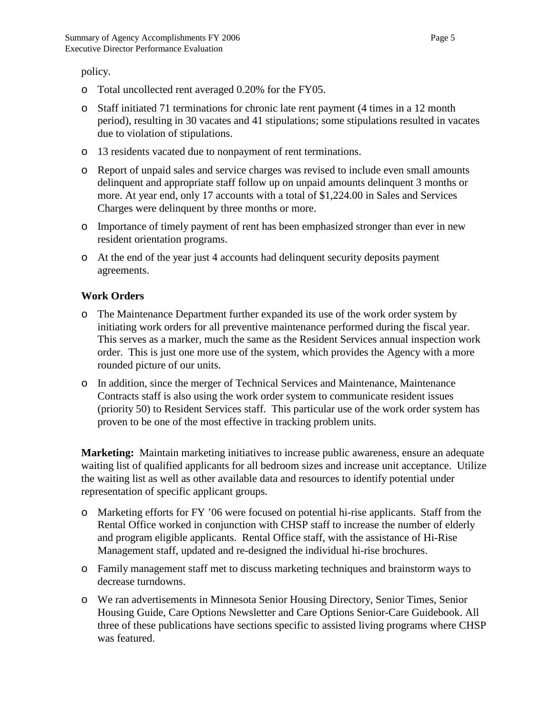policy.

- o Total uncollected rent averaged 0.20% for the FY05.
- o Staff initiated 71 terminations for chronic late rent payment (4 times in a 12 month period), resulting in 30 vacates and 41 stipulations; some stipulations resulted in vacates due to violation of stipulations.
- o 13 residents vacated due to nonpayment of rent terminations.
- o Report of unpaid sales and service charges was revised to include even small amounts delinquent and appropriate staff follow up on unpaid amounts delinquent 3 months or more. At year end, only 17 accounts with a total of \$1,224.00 in Sales and Services Charges were delinquent by three months or more.
- o Importance of timely payment of rent has been emphasized stronger than ever in new resident orientation programs.
- o At the end of the year just 4 accounts had delinquent security deposits payment agreements.

## **Work Orders**

- o The Maintenance Department further expanded its use of the work order system by initiating work orders for all preventive maintenance performed during the fiscal year. This serves as a marker, much the same as the Resident Services annual inspection work order. This is just one more use of the system, which provides the Agency with a more rounded picture of our units.
- o In addition, since the merger of Technical Services and Maintenance, Maintenance Contracts staff is also using the work order system to communicate resident issues (priority 50) to Resident Services staff. This particular use of the work order system has proven to be one of the most effective in tracking problem units.

**Marketing:** Maintain marketing initiatives to increase public awareness, ensure an adequate waiting list of qualified applicants for all bedroom sizes and increase unit acceptance. Utilize the waiting list as well as other available data and resources to identify potential under representation of specific applicant groups.

- o Marketing efforts for FY '06 were focused on potential hi-rise applicants. Staff from the Rental Office worked in conjunction with CHSP staff to increase the number of elderly and program eligible applicants. Rental Office staff, with the assistance of Hi-Rise Management staff, updated and re-designed the individual hi-rise brochures.
- o Family management staff met to discuss marketing techniques and brainstorm ways to decrease turndowns.
- o We ran advertisements in Minnesota Senior Housing Directory, Senior Times, Senior Housing Guide, Care Options Newsletter and Care Options Senior-Care Guidebook. All three of these publications have sections specific to assisted living programs where CHSP was featured.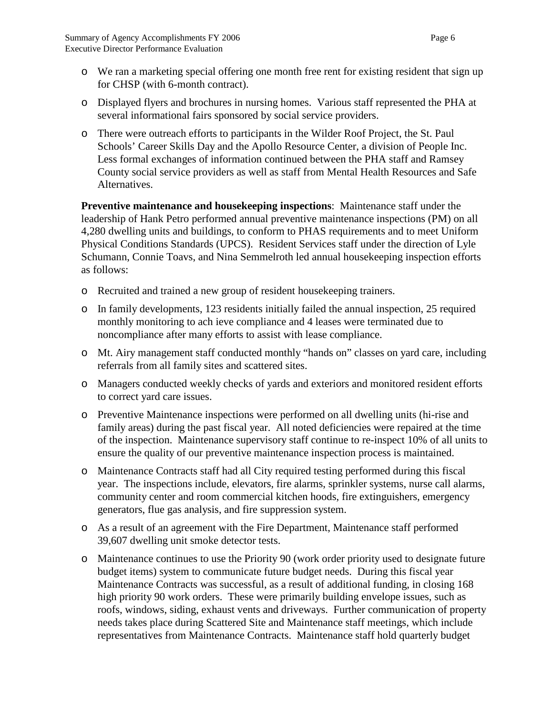- o We ran a marketing special offering one month free rent for existing resident that sign up for CHSP (with 6-month contract).
- o Displayed flyers and brochures in nursing homes. Various staff represented the PHA at several informational fairs sponsored by social service providers.
- o There were outreach efforts to participants in the Wilder Roof Project, the St. Paul Schools' Career Skills Day and the Apollo Resource Center, a division of People Inc. Less formal exchanges of information continued between the PHA staff and Ramsey County social service providers as well as staff from Mental Health Resources and Safe Alternatives.

**Preventive maintenance and housekeeping inspections**: Maintenance staff under the leadership of Hank Petro performed annual preventive maintenance inspections (PM) on all 4,280 dwelling units and buildings, to conform to PHAS requirements and to meet Uniform Physical Conditions Standards (UPCS). Resident Services staff under the direction of Lyle Schumann, Connie Toavs, and Nina Semmelroth led annual housekeeping inspection efforts as follows:

- o Recruited and trained a new group of resident housekeeping trainers.
- o In family developments, 123 residents initially failed the annual inspection, 25 required monthly monitoring to ach ieve compliance and 4 leases were terminated due to noncompliance after many efforts to assist with lease compliance.
- o Mt. Airy management staff conducted monthly "hands on" classes on yard care, including referrals from all family sites and scattered sites.
- o Managers conducted weekly checks of yards and exteriors and monitored resident efforts to correct yard care issues.
- o Preventive Maintenance inspections were performed on all dwelling units (hi-rise and family areas) during the past fiscal year. All noted deficiencies were repaired at the time of the inspection. Maintenance supervisory staff continue to re-inspect 10% of all units to ensure the quality of our preventive maintenance inspection process is maintained.
- o Maintenance Contracts staff had all City required testing performed during this fiscal year. The inspections include, elevators, fire alarms, sprinkler systems, nurse call alarms, community center and room commercial kitchen hoods, fire extinguishers, emergency generators, flue gas analysis, and fire suppression system.
- o As a result of an agreement with the Fire Department, Maintenance staff performed 39,607 dwelling unit smoke detector tests.
- o Maintenance continues to use the Priority 90 (work order priority used to designate future budget items) system to communicate future budget needs. During this fiscal year Maintenance Contracts was successful, as a result of additional funding, in closing 168 high priority 90 work orders. These were primarily building envelope issues, such as roofs, windows, siding, exhaust vents and driveways. Further communication of property needs takes place during Scattered Site and Maintenance staff meetings, which include representatives from Maintenance Contracts. Maintenance staff hold quarterly budget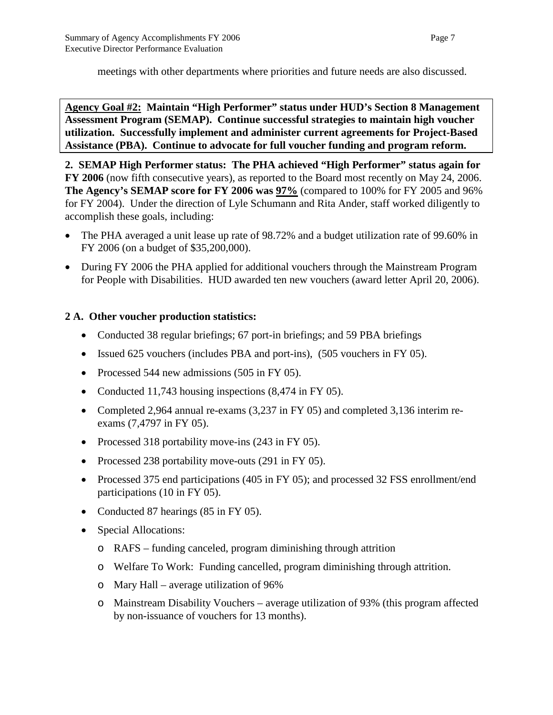meetings with other departments where priorities and future needs are also discussed.

**Agency Goal #2: Maintain "High Performer" status under HUD's Section 8 Management Assessment Program (SEMAP). Continue successful strategies to maintain high voucher utilization. Successfully implement and administer current agreements for Project-Based Assistance (PBA). Continue to advocate for full voucher funding and program reform.**

**2. SEMAP High Performer status: The PHA achieved "High Performer" status again for FY 2006** (now fifth consecutive years), as reported to the Board most recently on May 24, 2006. **The Agency's SEMAP score for FY 2006 was 97%** (compared to 100% for FY 2005 and 96% for FY 2004). Under the direction of Lyle Schumann and Rita Ander, staff worked diligently to accomplish these goals, including:

- The PHA averaged a unit lease up rate of 98.72% and a budget utilization rate of 99.60% in FY 2006 (on a budget of \$35,200,000).
- During FY 2006 the PHA applied for additional vouchers through the Mainstream Program for People with Disabilities. HUD awarded ten new vouchers (award letter April 20, 2006).

## **2 A. Other voucher production statistics:**

- Conducted 38 regular briefings; 67 port-in briefings; and 59 PBA briefings
- Issued 625 vouchers (includes PBA and port-ins), (505 vouchers in FY 05).
- Processed 544 new admissions (505 in FY 05).
- Conducted 11,743 housing inspections  $(8,474 \text{ in FY } 05)$ .
- Completed 2,964 annual re-exams (3,237 in FY 05) and completed 3,136 interim reexams (7,4797 in FY 05).
- Processed 318 portability move-ins (243 in FY 05).
- Processed 238 portability move-outs (291 in FY 05).
- Processed 375 end participations (405 in FY 05); and processed 32 FSS enrollment/end participations (10 in FY 05).
- Conducted 87 hearings (85 in FY 05).
- Special Allocations:
	- o RAFS funding canceled, program diminishing through attrition
	- o Welfare To Work: Funding cancelled, program diminishing through attrition.
	- o Mary Hall average utilization of 96%
	- o Mainstream Disability Vouchers average utilization of 93% (this program affected by non-issuance of vouchers for 13 months).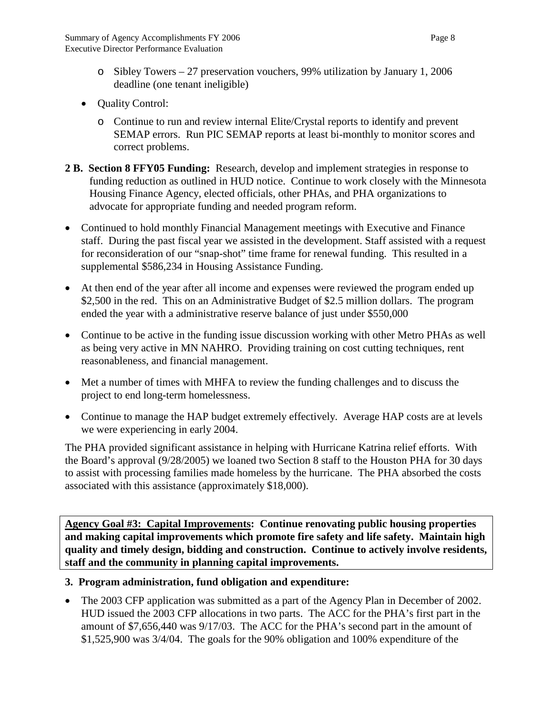- o Sibley Towers 27 preservation vouchers, 99% utilization by January 1, 2006 deadline (one tenant ineligible)
- Quality Control:
	- o Continue to run and review internal Elite/Crystal reports to identify and prevent SEMAP errors. Run PIC SEMAP reports at least bi-monthly to monitor scores and correct problems.
- **2 B. Section 8 FFY05 Funding:** Research, develop and implement strategies in response to funding reduction as outlined in HUD notice. Continue to work closely with the Minnesota Housing Finance Agency, elected officials, other PHAs, and PHA organizations to advocate for appropriate funding and needed program reform.
- Continued to hold monthly Financial Management meetings with Executive and Finance staff. During the past fiscal year we assisted in the development. Staff assisted with a request for reconsideration of our "snap-shot" time frame for renewal funding. This resulted in a supplemental \$586,234 in Housing Assistance Funding.
- At then end of the year after all income and expenses were reviewed the program ended up \$2,500 in the red. This on an Administrative Budget of \$2.5 million dollars. The program ended the year with a administrative reserve balance of just under \$550,000
- Continue to be active in the funding issue discussion working with other Metro PHAs as well as being very active in MN NAHRO. Providing training on cost cutting techniques, rent reasonableness, and financial management.
- Met a number of times with MHFA to review the funding challenges and to discuss the project to end long-term homelessness.
- Continue to manage the HAP budget extremely effectively. Average HAP costs are at levels we were experiencing in early 2004.

The PHA provided significant assistance in helping with Hurricane Katrina relief efforts. With the Board's approval (9/28/2005) we loaned two Section 8 staff to the Houston PHA for 30 days to assist with processing families made homeless by the hurricane. The PHA absorbed the costs associated with this assistance (approximately \$18,000).

**Agency Goal #3: Capital Improvements: Continue renovating public housing properties and making capital improvements which promote fire safety and life safety. Maintain high quality and timely design, bidding and construction. Continue to actively involve residents, staff and the community in planning capital improvements.**

## **3. Program administration, fund obligation and expenditure:**

• The 2003 CFP application was submitted as a part of the Agency Plan in December of 2002. HUD issued the 2003 CFP allocations in two parts. The ACC for the PHA's first part in the amount of \$7,656,440 was 9/17/03. The ACC for the PHA's second part in the amount of \$1,525,900 was 3/4/04. The goals for the 90% obligation and 100% expenditure of the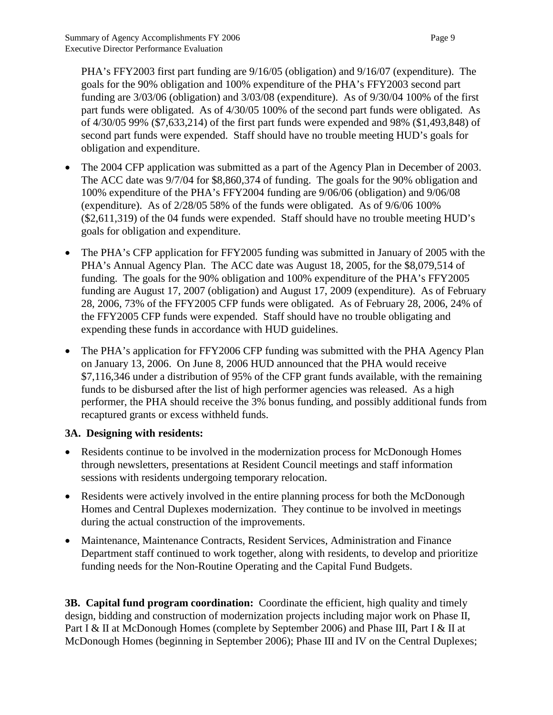PHA's FFY2003 first part funding are 9/16/05 (obligation) and 9/16/07 (expenditure). The goals for the 90% obligation and 100% expenditure of the PHA's FFY2003 second part funding are 3/03/06 (obligation) and 3/03/08 (expenditure). As of 9/30/04 100% of the first part funds were obligated. As of 4/30/05 100% of the second part funds were obligated. As of 4/30/05 99% (\$7,633,214) of the first part funds were expended and 98% (\$1,493,848) of second part funds were expended. Staff should have no trouble meeting HUD's goals for obligation and expenditure.

- The 2004 CFP application was submitted as a part of the Agency Plan in December of 2003. The ACC date was 9/7/04 for \$8,860,374 of funding. The goals for the 90% obligation and 100% expenditure of the PHA's FFY2004 funding are 9/06/06 (obligation) and 9/06/08 (expenditure). As of 2/28/05 58% of the funds were obligated. As of 9/6/06 100% (\$2,611,319) of the 04 funds were expended. Staff should have no trouble meeting HUD's goals for obligation and expenditure.
- The PHA's CFP application for FFY2005 funding was submitted in January of 2005 with the PHA's Annual Agency Plan. The ACC date was August 18, 2005, for the \$8,079,514 of funding. The goals for the 90% obligation and 100% expenditure of the PHA's FFY2005 funding are August 17, 2007 (obligation) and August 17, 2009 (expenditure). As of February 28, 2006, 73% of the FFY2005 CFP funds were obligated. As of February 28, 2006, 24% of the FFY2005 CFP funds were expended. Staff should have no trouble obligating and expending these funds in accordance with HUD guidelines.
- The PHA's application for FFY2006 CFP funding was submitted with the PHA Agency Plan on January 13, 2006. On June 8, 2006 HUD announced that the PHA would receive \$7,116,346 under a distribution of 95% of the CFP grant funds available, with the remaining funds to be disbursed after the list of high performer agencies was released. As a high performer, the PHA should receive the 3% bonus funding, and possibly additional funds from recaptured grants or excess withheld funds.

## **3A. Designing with residents:**

- Residents continue to be involved in the modernization process for McDonough Homes through newsletters, presentations at Resident Council meetings and staff information sessions with residents undergoing temporary relocation.
- Residents were actively involved in the entire planning process for both the McDonough Homes and Central Duplexes modernization. They continue to be involved in meetings during the actual construction of the improvements.
- Maintenance, Maintenance Contracts, Resident Services, Administration and Finance Department staff continued to work together, along with residents, to develop and prioritize funding needs for the Non-Routine Operating and the Capital Fund Budgets.

**3B. Capital fund program coordination:** Coordinate the efficient, high quality and timely design, bidding and construction of modernization projects including major work on Phase II, Part I & II at McDonough Homes (complete by September 2006) and Phase III, Part I & II at McDonough Homes (beginning in September 2006); Phase III and IV on the Central Duplexes;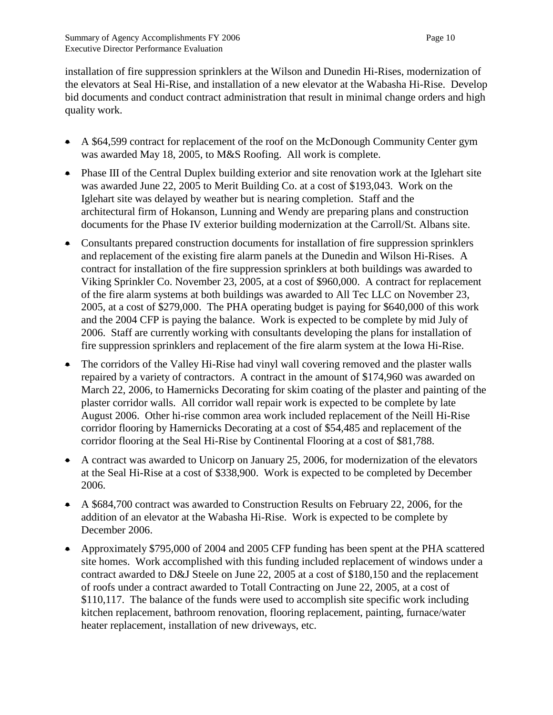installation of fire suppression sprinklers at the Wilson and Dunedin Hi-Rises, modernization of the elevators at Seal Hi-Rise, and installation of a new elevator at the Wabasha Hi-Rise. Develop bid documents and conduct contract administration that result in minimal change orders and high quality work.

- A \$64,599 contract for replacement of the roof on the McDonough Community Center gym was awarded May 18, 2005, to M&S Roofing. All work is complete.
- Phase III of the Central Duplex building exterior and site renovation work at the Iglehart site was awarded June 22, 2005 to Merit Building Co. at a cost of \$193,043. Work on the Iglehart site was delayed by weather but is nearing completion. Staff and the architectural firm of Hokanson, Lunning and Wendy are preparing plans and construction documents for the Phase IV exterior building modernization at the Carroll/St. Albans site.
- Consultants prepared construction documents for installation of fire suppression sprinklers and replacement of the existing fire alarm panels at the Dunedin and Wilson Hi-Rises. A contract for installation of the fire suppression sprinklers at both buildings was awarded to Viking Sprinkler Co. November 23, 2005, at a cost of \$960,000. A contract for replacement of the fire alarm systems at both buildings was awarded to All Tec LLC on November 23, 2005, at a cost of \$279,000. The PHA operating budget is paying for \$640,000 of this work and the 2004 CFP is paying the balance. Work is expected to be complete by mid July of 2006. Staff are currently working with consultants developing the plans for installation of fire suppression sprinklers and replacement of the fire alarm system at the Iowa Hi-Rise.
- The corridors of the Valley Hi-Rise had vinyl wall covering removed and the plaster walls repaired by a variety of contractors. A contract in the amount of \$174,960 was awarded on March 22, 2006, to Hamernicks Decorating for skim coating of the plaster and painting of the plaster corridor walls. All corridor wall repair work is expected to be complete by late August 2006. Other hi-rise common area work included replacement of the Neill Hi-Rise corridor flooring by Hamernicks Decorating at a cost of \$54,485 and replacement of the corridor flooring at the Seal Hi-Rise by Continental Flooring at a cost of \$81,788.
- A contract was awarded to Unicorp on January 25, 2006, for modernization of the elevators at the Seal Hi-Rise at a cost of \$338,900. Work is expected to be completed by December 2006.
- A \$684,700 contract was awarded to Construction Results on February 22, 2006, for the addition of an elevator at the Wabasha Hi-Rise. Work is expected to be complete by December 2006.
- Approximately \$795,000 of 2004 and 2005 CFP funding has been spent at the PHA scattered site homes. Work accomplished with this funding included replacement of windows under a contract awarded to D&J Steele on June 22, 2005 at a cost of \$180,150 and the replacement of roofs under a contract awarded to Totall Contracting on June 22, 2005, at a cost of \$110,117. The balance of the funds were used to accomplish site specific work including kitchen replacement, bathroom renovation, flooring replacement, painting, furnace/water heater replacement, installation of new driveways, etc.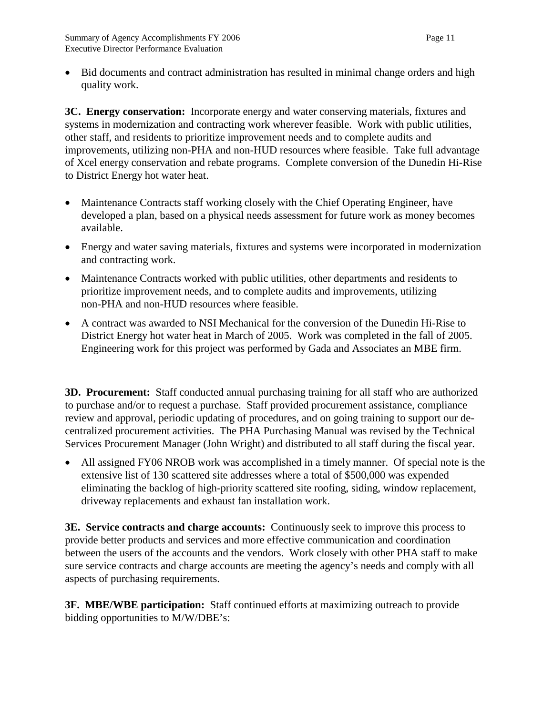• Bid documents and contract administration has resulted in minimal change orders and high quality work.

**3C. Energy conservation:** Incorporate energy and water conserving materials, fixtures and systems in modernization and contracting work wherever feasible. Work with public utilities, other staff, and residents to prioritize improvement needs and to complete audits and improvements, utilizing non-PHA and non-HUD resources where feasible. Take full advantage of Xcel energy conservation and rebate programs. Complete conversion of the Dunedin Hi-Rise to District Energy hot water heat.

- Maintenance Contracts staff working closely with the Chief Operating Engineer, have developed a plan, based on a physical needs assessment for future work as money becomes available.
- Energy and water saving materials, fixtures and systems were incorporated in modernization and contracting work.
- Maintenance Contracts worked with public utilities, other departments and residents to prioritize improvement needs, and to complete audits and improvements, utilizing non-PHA and non-HUD resources where feasible.
- A contract was awarded to NSI Mechanical for the conversion of the Dunedin Hi-Rise to District Energy hot water heat in March of 2005. Work was completed in the fall of 2005. Engineering work for this project was performed by Gada and Associates an MBE firm.

**3D. Procurement:** Staff conducted annual purchasing training for all staff who are authorized to purchase and/or to request a purchase. Staff provided procurement assistance, compliance review and approval, periodic updating of procedures, and on going training to support our decentralized procurement activities. The PHA Purchasing Manual was revised by the Technical Services Procurement Manager (John Wright) and distributed to all staff during the fiscal year.

• All assigned FY06 NROB work was accomplished in a timely manner. Of special note is the extensive list of 130 scattered site addresses where a total of \$500,000 was expended eliminating the backlog of high-priority scattered site roofing, siding, window replacement, driveway replacements and exhaust fan installation work.

**3E. Service contracts and charge accounts:** Continuously seek to improve this process to provide better products and services and more effective communication and coordination between the users of the accounts and the vendors. Work closely with other PHA staff to make sure service contracts and charge accounts are meeting the agency's needs and comply with all aspects of purchasing requirements.

**3F. MBE/WBE participation:** Staff continued efforts at maximizing outreach to provide bidding opportunities to M/W/DBE's: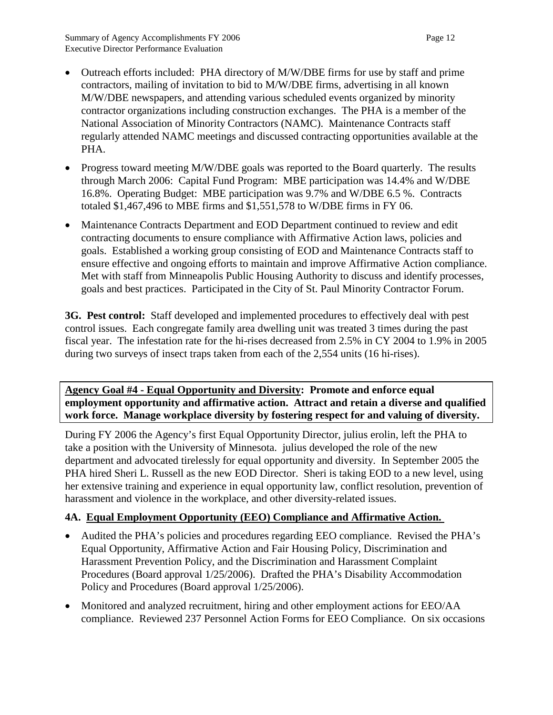- Outreach efforts included: PHA directory of M/W/DBE firms for use by staff and prime contractors, mailing of invitation to bid to M/W/DBE firms, advertising in all known M/W/DBE newspapers, and attending various scheduled events organized by minority contractor organizations including construction exchanges. The PHA is a member of the National Association of Minority Contractors (NAMC). Maintenance Contracts staff regularly attended NAMC meetings and discussed contracting opportunities available at the PHA.
- Progress toward meeting M/W/DBE goals was reported to the Board quarterly. The results through March 2006: Capital Fund Program: MBE participation was 14.4% and W/DBE 16.8%. Operating Budget: MBE participation was 9.7% and W/DBE 6.5 %. Contracts totaled \$1,467,496 to MBE firms and \$1,551,578 to W/DBE firms in FY 06.
- Maintenance Contracts Department and EOD Department continued to review and edit contracting documents to ensure compliance with Affirmative Action laws, policies and goals. Established a working group consisting of EOD and Maintenance Contracts staff to ensure effective and ongoing efforts to maintain and improve Affirmative Action compliance. Met with staff from Minneapolis Public Housing Authority to discuss and identify processes, goals and best practices. Participated in the City of St. Paul Minority Contractor Forum.

**3G. Pest control:** Staff developed and implemented procedures to effectively deal with pest control issues. Each congregate family area dwelling unit was treated 3 times during the past fiscal year. The infestation rate for the hi-rises decreased from 2.5% in CY 2004 to 1.9% in 2005 during two surveys of insect traps taken from each of the 2,554 units (16 hi-rises).

## **Agency Goal #4 - Equal Opportunity and Diversity: Promote and enforce equal employment opportunity and affirmative action. Attract and retain a diverse and qualified work force. Manage workplace diversity by fostering respect for and valuing of diversity.**

During FY 2006 the Agency's first Equal Opportunity Director, julius erolin, left the PHA to take a position with the University of Minnesota. julius developed the role of the new department and advocated tirelessly for equal opportunity and diversity. In September 2005 the PHA hired Sheri L. Russell as the new EOD Director. Sheri is taking EOD to a new level, using her extensive training and experience in equal opportunity law, conflict resolution, prevention of harassment and violence in the workplace, and other diversity-related issues.

## **4A. Equal Employment Opportunity (EEO) Compliance and Affirmative Action.**

- Audited the PHA's policies and procedures regarding EEO compliance. Revised the PHA's Equal Opportunity, Affirmative Action and Fair Housing Policy, Discrimination and Harassment Prevention Policy, and the Discrimination and Harassment Complaint Procedures (Board approval 1/25/2006). Drafted the PHA's Disability Accommodation Policy and Procedures (Board approval 1/25/2006).
- Monitored and analyzed recruitment, hiring and other employment actions for EEO/AA compliance. Reviewed 237 Personnel Action Forms for EEO Compliance. On six occasions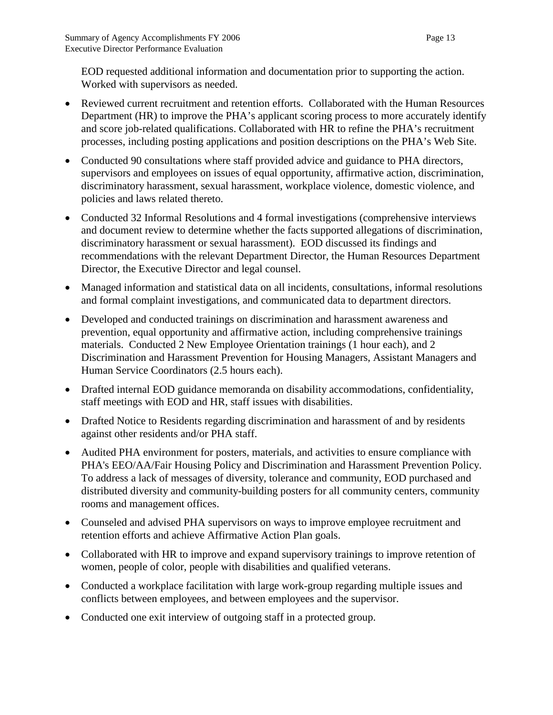EOD requested additional information and documentation prior to supporting the action. Worked with supervisors as needed.

- Reviewed current recruitment and retention efforts. Collaborated with the Human Resources Department (HR) to improve the PHA's applicant scoring process to more accurately identify and score job-related qualifications. Collaborated with HR to refine the PHA's recruitment processes, including posting applications and position descriptions on the PHA's Web Site.
- Conducted 90 consultations where staff provided advice and guidance to PHA directors, supervisors and employees on issues of equal opportunity, affirmative action, discrimination, discriminatory harassment, sexual harassment, workplace violence, domestic violence, and policies and laws related thereto.
- Conducted 32 Informal Resolutions and 4 formal investigations (comprehensive interviews and document review to determine whether the facts supported allegations of discrimination, discriminatory harassment or sexual harassment). EOD discussed its findings and recommendations with the relevant Department Director, the Human Resources Department Director, the Executive Director and legal counsel.
- Managed information and statistical data on all incidents, consultations, informal resolutions and formal complaint investigations, and communicated data to department directors.
- Developed and conducted trainings on discrimination and harassment awareness and prevention, equal opportunity and affirmative action, including comprehensive trainings materials. Conducted 2 New Employee Orientation trainings (1 hour each), and 2 Discrimination and Harassment Prevention for Housing Managers, Assistant Managers and Human Service Coordinators (2.5 hours each).
- Drafted internal EOD guidance memoranda on disability accommodations, confidentiality, staff meetings with EOD and HR, staff issues with disabilities.
- Drafted Notice to Residents regarding discrimination and harassment of and by residents against other residents and/or PHA staff.
- Audited PHA environment for posters, materials, and activities to ensure compliance with PHA's EEO/AA/Fair Housing Policy and Discrimination and Harassment Prevention Policy. To address a lack of messages of diversity, tolerance and community, EOD purchased and distributed diversity and community-building posters for all community centers, community rooms and management offices.
- Counseled and advised PHA supervisors on ways to improve employee recruitment and retention efforts and achieve Affirmative Action Plan goals.
- Collaborated with HR to improve and expand supervisory trainings to improve retention of women, people of color, people with disabilities and qualified veterans.
- Conducted a workplace facilitation with large work-group regarding multiple issues and conflicts between employees, and between employees and the supervisor.
- Conducted one exit interview of outgoing staff in a protected group.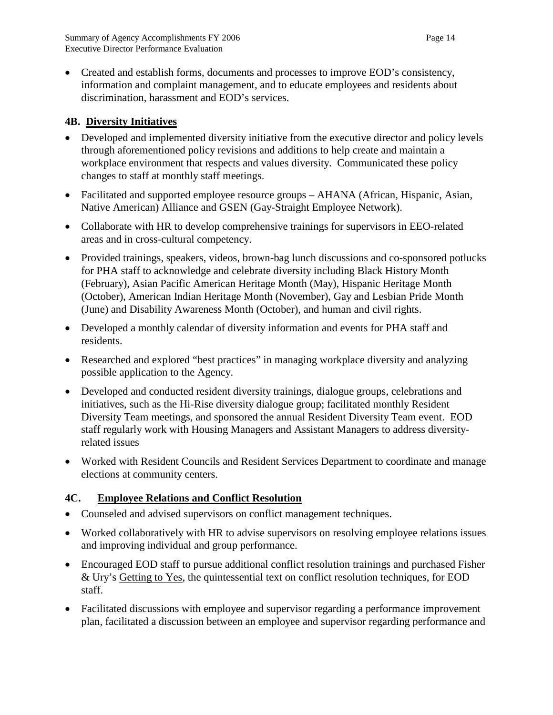• Created and establish forms, documents and processes to improve EOD's consistency, information and complaint management, and to educate employees and residents about discrimination, harassment and EOD's services.

# **4B. Diversity Initiatives**

- Developed and implemented diversity initiative from the executive director and policy levels through aforementioned policy revisions and additions to help create and maintain a workplace environment that respects and values diversity. Communicated these policy changes to staff at monthly staff meetings.
- Facilitated and supported employee resource groups AHANA (African, Hispanic, Asian, Native American) Alliance and GSEN (Gay-Straight Employee Network).
- Collaborate with HR to develop comprehensive trainings for supervisors in EEO-related areas and in cross-cultural competency.
- Provided trainings, speakers, videos, brown-bag lunch discussions and co-sponsored potlucks for PHA staff to acknowledge and celebrate diversity including Black History Month (February), Asian Pacific American Heritage Month (May), Hispanic Heritage Month (October), American Indian Heritage Month (November), Gay and Lesbian Pride Month (June) and Disability Awareness Month (October), and human and civil rights.
- Developed a monthly calendar of diversity information and events for PHA staff and residents.
- Researched and explored "best practices" in managing workplace diversity and analyzing possible application to the Agency.
- Developed and conducted resident diversity trainings, dialogue groups, celebrations and initiatives, such as the Hi-Rise diversity dialogue group; facilitated monthly Resident Diversity Team meetings, and sponsored the annual Resident Diversity Team event. EOD staff regularly work with Housing Managers and Assistant Managers to address diversityrelated issues
- Worked with Resident Councils and Resident Services Department to coordinate and manage elections at community centers.

# **4C. Employee Relations and Conflict Resolution**

- Counseled and advised supervisors on conflict management techniques.
- Worked collaboratively with HR to advise supervisors on resolving employee relations issues and improving individual and group performance.
- Encouraged EOD staff to pursue additional conflict resolution trainings and purchased Fisher & Ury's Getting to Yes, the quintessential text on conflict resolution techniques, for EOD staff.
- Facilitated discussions with employee and supervisor regarding a performance improvement plan, facilitated a discussion between an employee and supervisor regarding performance and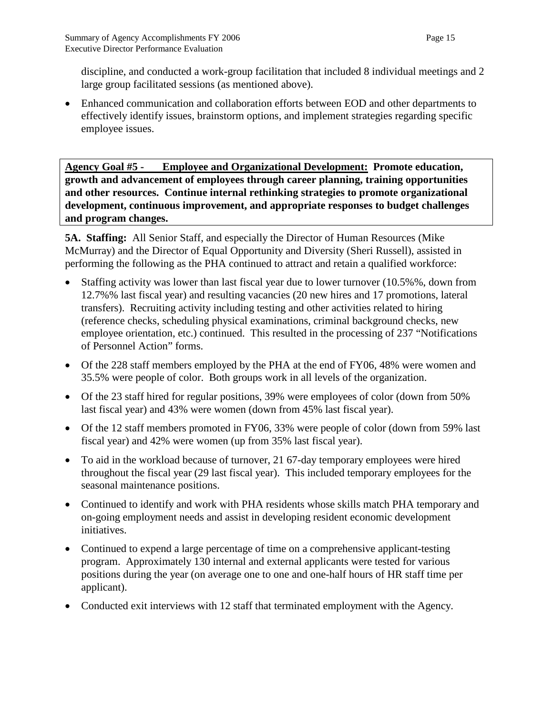discipline, and conducted a work-group facilitation that included 8 individual meetings and 2 large group facilitated sessions (as mentioned above).

• Enhanced communication and collaboration efforts between EOD and other departments to effectively identify issues, brainstorm options, and implement strategies regarding specific employee issues.

**Agency Goal #5 - Employee and Organizational Development: Promote education, growth and advancement of employees through career planning, training opportunities and other resources. Continue internal rethinking strategies to promote organizational development, continuous improvement, and appropriate responses to budget challenges and program changes.**

**5A. Staffing:** All Senior Staff, and especially the Director of Human Resources (Mike McMurray) and the Director of Equal Opportunity and Diversity (Sheri Russell), assisted in performing the following as the PHA continued to attract and retain a qualified workforce:

- Staffing activity was lower than last fiscal year due to lower turnover (10.5%%, down from 12.7%% last fiscal year) and resulting vacancies (20 new hires and 17 promotions, lateral transfers). Recruiting activity including testing and other activities related to hiring (reference checks, scheduling physical examinations, criminal background checks, new employee orientation, etc.) continued. This resulted in the processing of 237 "Notifications of Personnel Action" forms.
- Of the 228 staff members employed by the PHA at the end of FY06, 48% were women and 35.5% were people of color. Both groups work in all levels of the organization.
- Of the 23 staff hired for regular positions, 39% were employees of color (down from 50% last fiscal year) and 43% were women (down from 45% last fiscal year).
- Of the 12 staff members promoted in FY06, 33% were people of color (down from 59% last fiscal year) and 42% were women (up from 35% last fiscal year).
- To aid in the workload because of turnover, 21 67-day temporary employees were hired throughout the fiscal year (29 last fiscal year). This included temporary employees for the seasonal maintenance positions.
- Continued to identify and work with PHA residents whose skills match PHA temporary and on-going employment needs and assist in developing resident economic development initiatives.
- Continued to expend a large percentage of time on a comprehensive applicant-testing program. Approximately 130 internal and external applicants were tested for various positions during the year (on average one to one and one-half hours of HR staff time per applicant).
- Conducted exit interviews with 12 staff that terminated employment with the Agency.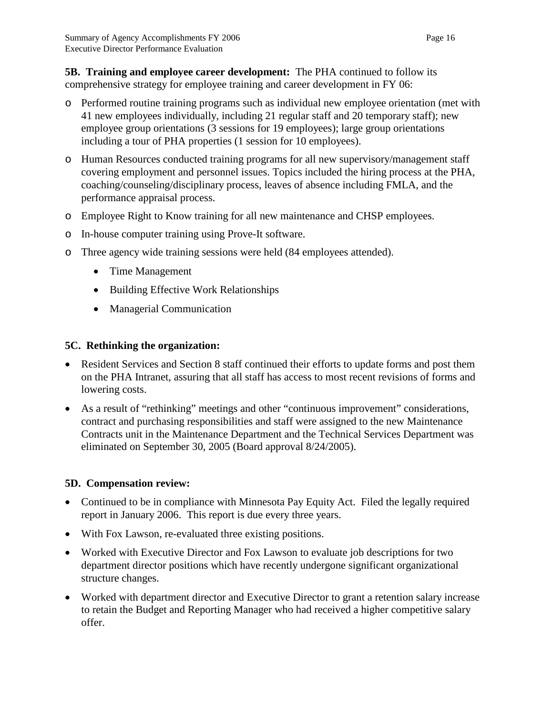**5B. Training and employee career development:** The PHA continued to follow its comprehensive strategy for employee training and career development in FY 06:

- o Performed routine training programs such as individual new employee orientation (met with 41 new employees individually, including 21 regular staff and 20 temporary staff); new employee group orientations (3 sessions for 19 employees); large group orientations including a tour of PHA properties (1 session for 10 employees).
- o Human Resources conducted training programs for all new supervisory/management staff covering employment and personnel issues. Topics included the hiring process at the PHA, coaching/counseling/disciplinary process, leaves of absence including FMLA, and the performance appraisal process.
- o Employee Right to Know training for all new maintenance and CHSP employees.
- o In-house computer training using Prove-It software.
- o Three agency wide training sessions were held (84 employees attended).
	- Time Management
	- Building Effective Work Relationships
	- Managerial Communication

#### **5C. Rethinking the organization:**

- Resident Services and Section 8 staff continued their efforts to update forms and post them on the PHA Intranet, assuring that all staff has access to most recent revisions of forms and lowering costs.
- As a result of "rethinking" meetings and other "continuous improvement" considerations, contract and purchasing responsibilities and staff were assigned to the new Maintenance Contracts unit in the Maintenance Department and the Technical Services Department was eliminated on September 30, 2005 (Board approval 8/24/2005).

#### **5D. Compensation review:**

- Continued to be in compliance with Minnesota Pay Equity Act. Filed the legally required report in January 2006. This report is due every three years.
- With Fox Lawson, re-evaluated three existing positions.
- Worked with Executive Director and Fox Lawson to evaluate job descriptions for two department director positions which have recently undergone significant organizational structure changes.
- Worked with department director and Executive Director to grant a retention salary increase to retain the Budget and Reporting Manager who had received a higher competitive salary offer.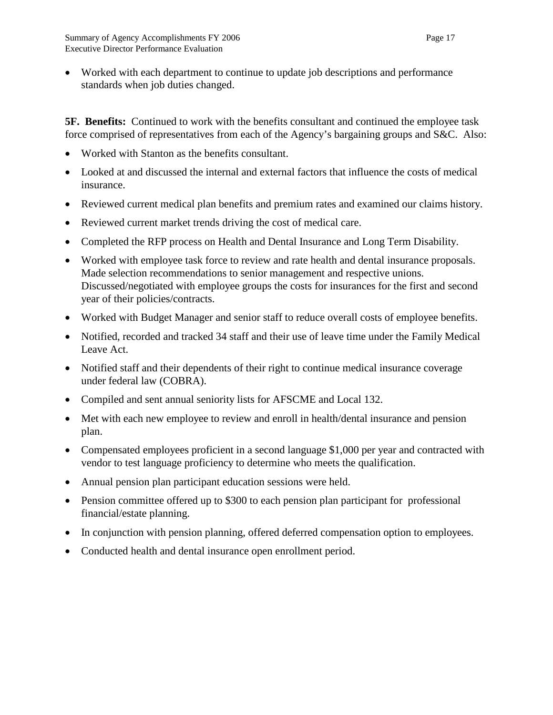• Worked with each department to continue to update job descriptions and performance standards when job duties changed.

**5F. Benefits:** Continued to work with the benefits consultant and continued the employee task force comprised of representatives from each of the Agency's bargaining groups and S&C. Also:

- Worked with Stanton as the benefits consultant.
- Looked at and discussed the internal and external factors that influence the costs of medical insurance.
- Reviewed current medical plan benefits and premium rates and examined our claims history.
- Reviewed current market trends driving the cost of medical care.
- Completed the RFP process on Health and Dental Insurance and Long Term Disability.
- Worked with employee task force to review and rate health and dental insurance proposals. Made selection recommendations to senior management and respective unions. Discussed/negotiated with employee groups the costs for insurances for the first and second year of their policies/contracts.
- Worked with Budget Manager and senior staff to reduce overall costs of employee benefits.
- Notified, recorded and tracked 34 staff and their use of leave time under the Family Medical Leave Act.
- Notified staff and their dependents of their right to continue medical insurance coverage under federal law (COBRA).
- Compiled and sent annual seniority lists for AFSCME and Local 132.
- Met with each new employee to review and enroll in health/dental insurance and pension plan.
- Compensated employees proficient in a second language \$1,000 per year and contracted with vendor to test language proficiency to determine who meets the qualification.
- Annual pension plan participant education sessions were held.
- Pension committee offered up to \$300 to each pension plan participant for professional financial/estate planning.
- In conjunction with pension planning, offered deferred compensation option to employees.
- Conducted health and dental insurance open enrollment period.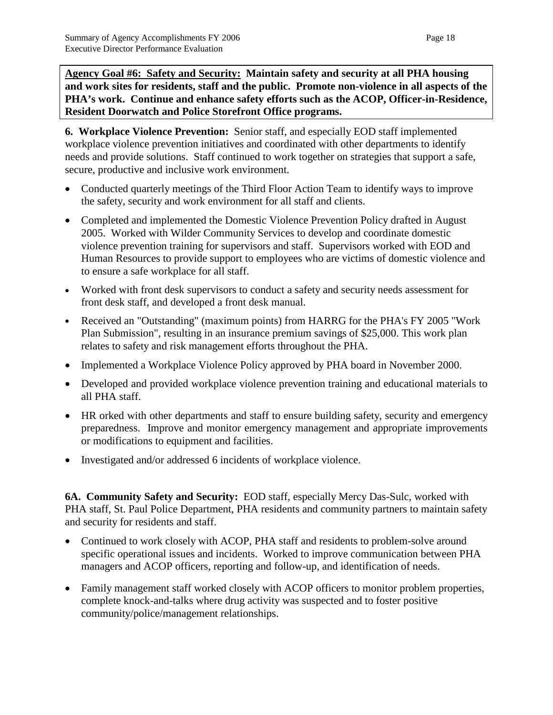**Agency Goal #6: Safety and Security: Maintain safety and security at all PHA housing and work sites for residents, staff and the public. Promote non-violence in all aspects of the PHA's work. Continue and enhance safety efforts such as the ACOP, Officer-in-Residence, Resident Doorwatch and Police Storefront Office programs.**

**6. Workplace Violence Prevention:** Senior staff, and especially EOD staff implemented workplace violence prevention initiatives and coordinated with other departments to identify needs and provide solutions. Staff continued to work together on strategies that support a safe, secure, productive and inclusive work environment.

- Conducted quarterly meetings of the Third Floor Action Team to identify ways to improve the safety, security and work environment for all staff and clients.
- Completed and implemented the Domestic Violence Prevention Policy drafted in August 2005. Worked with Wilder Community Services to develop and coordinate domestic violence prevention training for supervisors and staff. Supervisors worked with EOD and Human Resources to provide support to employees who are victims of domestic violence and to ensure a safe workplace for all staff.
- Worked with front desk supervisors to conduct a safety and security needs assessment for front desk staff, and developed a front desk manual.
- Received an "Outstanding" (maximum points) from HARRG for the PHA's FY 2005 "Work Plan Submission", resulting in an insurance premium savings of \$25,000. This work plan relates to safety and risk management efforts throughout the PHA.
- Implemented a Workplace Violence Policy approved by PHA board in November 2000.
- Developed and provided workplace violence prevention training and educational materials to all PHA staff.
- HR orked with other departments and staff to ensure building safety, security and emergency preparedness. Improve and monitor emergency management and appropriate improvements or modifications to equipment and facilities.
- Investigated and/or addressed 6 incidents of workplace violence.

**6A. Community Safety and Security:** EOD staff, especially Mercy Das-Sulc, worked with PHA staff, St. Paul Police Department, PHA residents and community partners to maintain safety and security for residents and staff.

- Continued to work closely with ACOP, PHA staff and residents to problem-solve around specific operational issues and incidents. Worked to improve communication between PHA managers and ACOP officers, reporting and follow-up, and identification of needs.
- Family management staff worked closely with ACOP officers to monitor problem properties, complete knock-and-talks where drug activity was suspected and to foster positive community/police/management relationships.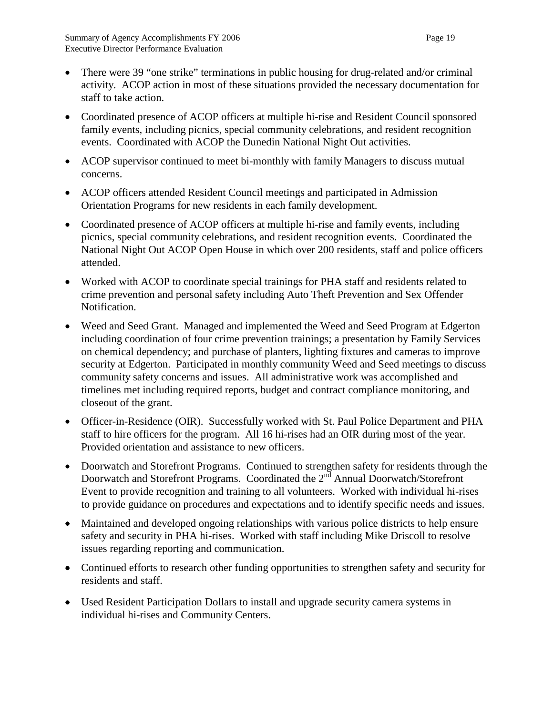- There were 39 "one strike" terminations in public housing for drug-related and/or criminal activity. ACOP action in most of these situations provided the necessary documentation for staff to take action.
- Coordinated presence of ACOP officers at multiple hi-rise and Resident Council sponsored family events, including picnics, special community celebrations, and resident recognition events. Coordinated with ACOP the Dunedin National Night Out activities.
- ACOP supervisor continued to meet bi-monthly with family Managers to discuss mutual concerns.
- ACOP officers attended Resident Council meetings and participated in Admission Orientation Programs for new residents in each family development.
- Coordinated presence of ACOP officers at multiple hi-rise and family events, including picnics, special community celebrations, and resident recognition events.Coordinated the National Night Out ACOP Open House in which over 200 residents, staff and police officers attended.
- Worked with ACOP to coordinate special trainings for PHA staff and residents related to crime prevention and personal safety including Auto Theft Prevention and Sex Offender Notification.
- Weed and Seed Grant.Managed and implemented the Weed and Seed Program at Edgerton including coordination of four crime prevention trainings; a presentation by Family Services on chemical dependency; and purchase of planters, lighting fixtures and cameras to improve security at Edgerton. Participated in monthly community Weed and Seed meetings to discuss community safety concerns and issues. All administrative work was accomplished and timelines met including required reports, budget and contract compliance monitoring, and closeout of the grant.
- Officer-in-Residence (OIR). Successfully worked with St. Paul Police Department and PHA staff to hire officers for the program. All 16 hi-rises had an OIR during most of the year. Provided orientation and assistance to new officers.
- Doorwatch and Storefront Programs. Continued to strengthen safety for residents through the Doorwatch and Storefront Programs. Coordinated the  $2<sup>nd</sup>$  Annual Doorwatch/Storefront Event to provide recognition and training to all volunteers. Worked with individual hi-rises to provide guidance on procedures and expectations and to identify specific needs and issues.
- Maintained and developed ongoing relationships with various police districts to help ensure safety and security in PHA hi-rises. Worked with staff including Mike Driscoll to resolve issues regarding reporting and communication.
- Continued efforts to research other funding opportunities to strengthen safety and security for residents and staff.
- Used Resident Participation Dollars to install and upgrade security camera systems in individual hi-rises and Community Centers.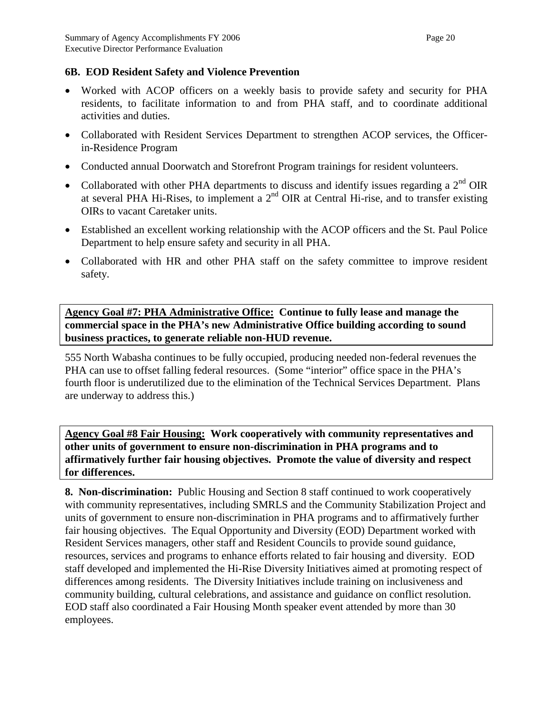## **6B. EOD Resident Safety and Violence Prevention**

- Worked with ACOP officers on a weekly basis to provide safety and security for PHA residents, to facilitate information to and from PHA staff, and to coordinate additional activities and duties.
- Collaborated with Resident Services Department to strengthen ACOP services, the Officerin-Residence Program
- Conducted annual Doorwatch and Storefront Program trainings for resident volunteers.
- Collaborated with other PHA departments to discuss and identify issues regarding a  $2<sup>nd</sup>$  OIR at several PHA Hi-Rises, to implement a  $2<sup>nd</sup>$  OIR at Central Hi-rise, and to transfer existing OIRs to vacant Caretaker units.
- Established an excellent working relationship with the ACOP officers and the St. Paul Police Department to help ensure safety and security in all PHA.
- Collaborated with HR and other PHA staff on the safety committee to improve resident safety.

**Agency Goal #7: PHA Administrative Office: Continue to fully lease and manage the commercial space in the PHA's new Administrative Office building according to sound business practices, to generate reliable non-HUD revenue.**

555 North Wabasha continues to be fully occupied, producing needed non-federal revenues the PHA can use to offset falling federal resources. (Some "interior" office space in the PHA's fourth floor is underutilized due to the elimination of the Technical Services Department. Plans are underway to address this.)

**Agency Goal #8 Fair Housing: Work cooperatively with community representatives and other units of government to ensure non-discrimination in PHA programs and to affirmatively further fair housing objectives. Promote the value of diversity and respect for differences.**

**8. Non-discrimination:** Public Housing and Section 8 staff continued to work cooperatively with community representatives, including SMRLS and the Community Stabilization Project and units of government to ensure non-discrimination in PHA programs and to affirmatively further fair housing objectives. The Equal Opportunity and Diversity (EOD) Department worked with Resident Services managers, other staff and Resident Councils to provide sound guidance, resources, services and programs to enhance efforts related to fair housing and diversity. EOD staff developed and implemented the Hi-Rise Diversity Initiatives aimed at promoting respect of differences among residents. The Diversity Initiatives include training on inclusiveness and community building, cultural celebrations, and assistance and guidance on conflict resolution. EOD staff also coordinated a Fair Housing Month speaker event attended by more than 30 employees.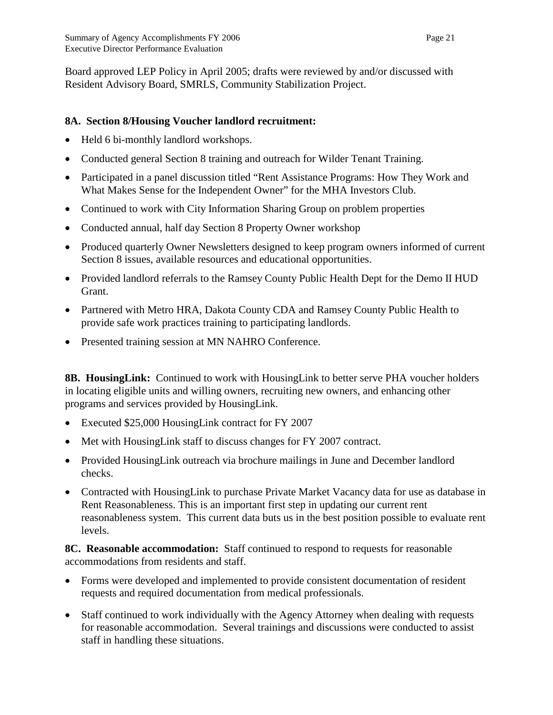Board approved LEP Policy in April 2005; drafts were reviewed by and/or discussed with Resident Advisory Board, SMRLS, Community Stabilization Project.

## **8A. Section 8/Housing Voucher landlord recruitment:**

- Held 6 bi-monthly landlord workshops.
- Conducted general Section 8 training and outreach for Wilder Tenant Training.
- Participated in a panel discussion titled "Rent Assistance Programs: How They Work and What Makes Sense for the Independent Owner" for the MHA Investors Club.
- Continued to work with City Information Sharing Group on problem properties
- Conducted annual, half day Section 8 Property Owner workshop
- Produced quarterly Owner Newsletters designed to keep program owners informed of current Section 8 issues, available resources and educational opportunities.
- Provided landlord referrals to the Ramsey County Public Health Dept for the Demo II HUD Grant.
- Partnered with Metro HRA, Dakota County CDA and Ramsey County Public Health to provide safe work practices training to participating landlords.
- Presented training session at MN NAHRO Conference.

**8B. HousingLink:** Continued to work with HousingLink to better serve PHA voucher holders in locating eligible units and willing owners, recruiting new owners, and enhancing other programs and services provided by HousingLink.

- Executed \$25,000 HousingLink contract for FY 2007
- Met with Housing Link staff to discuss changes for FY 2007 contract.
- Provided HousingLink outreach via brochure mailings in June and December landlord checks.
- Contracted with Housing Link to purchase Private Market Vacancy data for use as database in Rent Reasonableness. This is an important first step in updating our current rent reasonableness system. This current data buts us in the best position possible to evaluate rent levels.

**8C. Reasonable accommodation:** Staff continued to respond to requests for reasonable accommodations from residents and staff.

- Forms were developed and implemented to provide consistent documentation of resident requests and required documentation from medical professionals.
- Staff continued to work individually with the Agency Attorney when dealing with requests for reasonable accommodation. Several trainings and discussions were conducted to assist staff in handling these situations.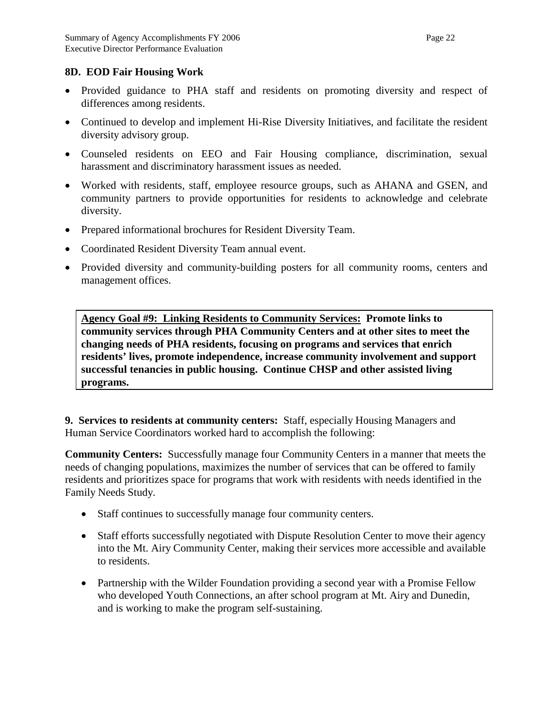### **8D. EOD Fair Housing Work**

- Provided guidance to PHA staff and residents on promoting diversity and respect of differences among residents.
- Continued to develop and implement Hi-Rise Diversity Initiatives, and facilitate the resident diversity advisory group.
- Counseled residents on EEO and Fair Housing compliance, discrimination, sexual harassment and discriminatory harassment issues as needed.
- Worked with residents, staff, employee resource groups, such as AHANA and GSEN, and community partners to provide opportunities for residents to acknowledge and celebrate diversity.
- Prepared informational brochures for Resident Diversity Team.
- Coordinated Resident Diversity Team annual event.
- Provided diversity and community-building posters for all community rooms, centers and management offices.

**Agency Goal #9: Linking Residents to Community Services: Promote links to community services through PHA Community Centers and at other sites to meet the changing needs of PHA residents, focusing on programs and services that enrich residents' lives, promote independence, increase community involvement and support successful tenancies in public housing. Continue CHSP and other assisted living programs.**

**9. Services to residents at community centers:** Staff, especially Housing Managers and Human Service Coordinators worked hard to accomplish the following:

**Community Centers:** Successfully manage four Community Centers in a manner that meets the needs of changing populations, maximizes the number of services that can be offered to family residents and prioritizes space for programs that work with residents with needs identified in the Family Needs Study.

- Staff continues to successfully manage four community centers.
- Staff efforts successfully negotiated with Dispute Resolution Center to move their agency into the Mt. Airy Community Center, making their services more accessible and available to residents.
- Partnership with the Wilder Foundation providing a second year with a Promise Fellow who developed Youth Connections, an after school program at Mt. Airy and Dunedin, and is working to make the program self-sustaining.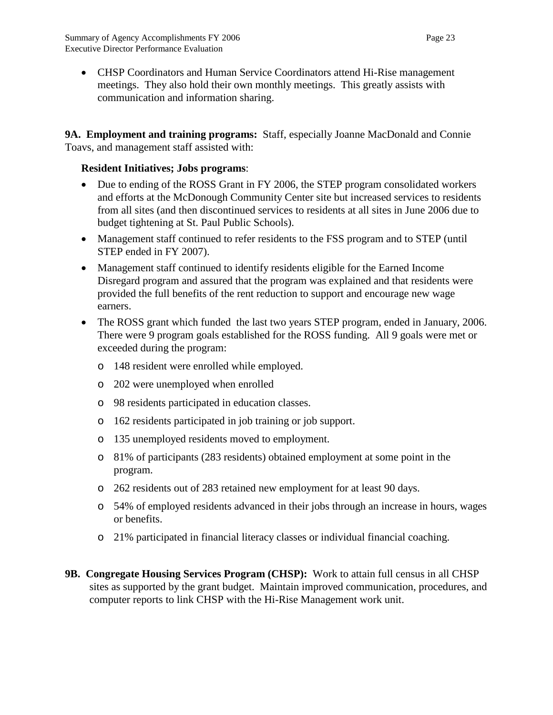• CHSP Coordinators and Human Service Coordinators attend Hi-Rise management meetings. They also hold their own monthly meetings. This greatly assists with communication and information sharing.

**9A. Employment and training programs:** Staff, especially Joanne MacDonald and Connie Toavs, and management staff assisted with:

## **Resident Initiatives; Jobs programs**:

- Due to ending of the ROSS Grant in FY 2006, the STEP program consolidated workers and efforts at the McDonough Community Center site but increased services to residents from all sites (and then discontinued services to residents at all sites in June 2006 due to budget tightening at St. Paul Public Schools).
- Management staff continued to refer residents to the FSS program and to STEP (until STEP ended in FY 2007).
- Management staff continued to identify residents eligible for the Earned Income Disregard program and assured that the program was explained and that residents were provided the full benefits of the rent reduction to support and encourage new wage earners.
- The ROSS grant which funded the last two years STEP program, ended in January, 2006. There were 9 program goals established for the ROSS funding. All 9 goals were met or exceeded during the program:
	- o 148 resident were enrolled while employed.
	- o 202 were unemployed when enrolled
	- o 98 residents participated in education classes.
	- o 162 residents participated in job training or job support.
	- o 135 unemployed residents moved to employment.
	- o 81% of participants (283 residents) obtained employment at some point in the program.
	- o 262 residents out of 283 retained new employment for at least 90 days.
	- o 54% of employed residents advanced in their jobs through an increase in hours, wages or benefits.
	- o 21% participated in financial literacy classes or individual financial coaching.
- **9B. Congregate Housing Services Program (CHSP):** Work to attain full census in all CHSP sites as supported by the grant budget. Maintain improved communication, procedures, and computer reports to link CHSP with the Hi-Rise Management work unit.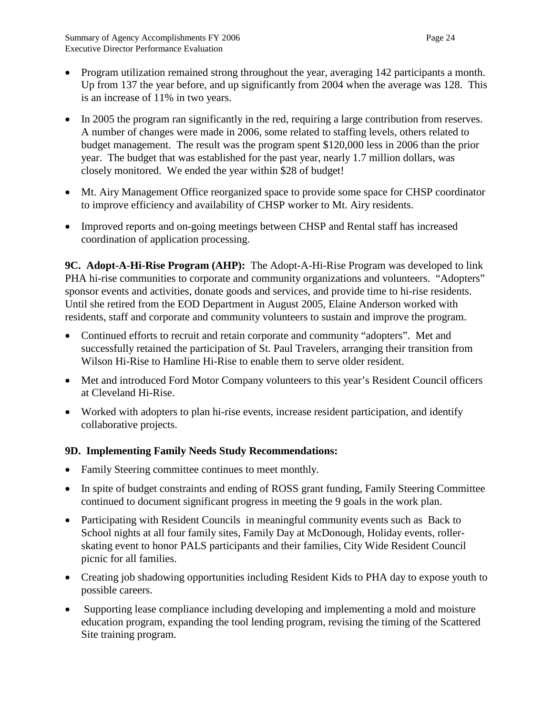- Program utilization remained strong throughout the year, averaging 142 participants a month. Up from 137 the year before, and up significantly from 2004 when the average was 128. This is an increase of 11% in two years.
- In 2005 the program ran significantly in the red, requiring a large contribution from reserves. A number of changes were made in 2006, some related to staffing levels, others related to budget management. The result was the program spent \$120,000 less in 2006 than the prior year. The budget that was established for the past year, nearly 1.7 million dollars, was closely monitored. We ended the year within \$28 of budget!
- Mt. Airy Management Office reorganized space to provide some space for CHSP coordinator to improve efficiency and availability of CHSP worker to Mt. Airy residents.
- Improved reports and on-going meetings between CHSP and Rental staff has increased coordination of application processing.

**9C. Adopt-A-Hi-Rise Program (AHP):** The Adopt-A-Hi-Rise Program was developed to link PHA hi-rise communities to corporate and community organizations and volunteers. "Adopters" sponsor events and activities, donate goods and services, and provide time to hi-rise residents. Until she retired from the EOD Department in August 2005, Elaine Anderson worked with residents, staff and corporate and community volunteers to sustain and improve the program.

- Continued efforts to recruit and retain corporate and community "adopters". Met and successfully retained the participation of St. Paul Travelers, arranging their transition from Wilson Hi-Rise to Hamline Hi-Rise to enable them to serve older resident.
- Met and introduced Ford Motor Company volunteers to this year's Resident Council officers at Cleveland Hi-Rise.
- Worked with adopters to plan hi-rise events, increase resident participation, and identify collaborative projects.

## **9D. Implementing Family Needs Study Recommendations:**

- Family Steering committee continues to meet monthly.
- In spite of budget constraints and ending of ROSS grant funding, Family Steering Committee continued to document significant progress in meeting the 9 goals in the work plan.
- Participating with Resident Councils in meaningful community events such as Back to School nights at all four family sites, Family Day at McDonough, Holiday events, rollerskating event to honor PALS participants and their families, City Wide Resident Council picnic for all families.
- Creating job shadowing opportunities including Resident Kids to PHA day to expose youth to possible careers.
- Supporting lease compliance including developing and implementing a mold and moisture education program, expanding the tool lending program, revising the timing of the Scattered Site training program.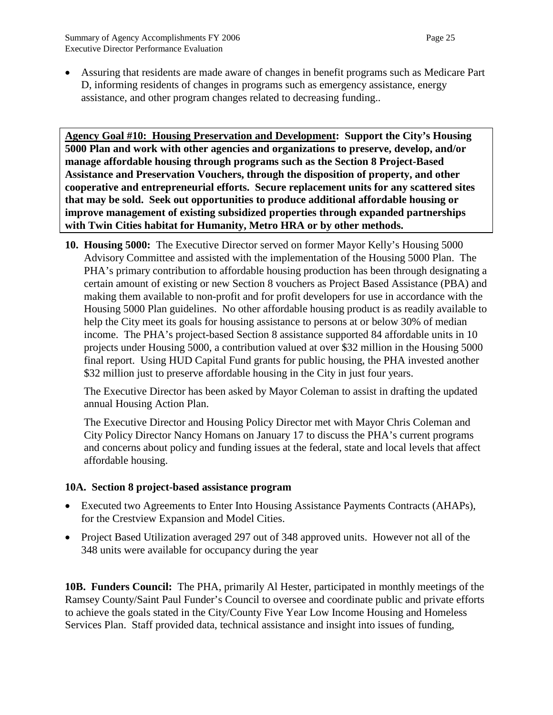• Assuring that residents are made aware of changes in benefit programs such as Medicare Part D, informing residents of changes in programs such as emergency assistance, energy assistance, and other program changes related to decreasing funding..

**Agency Goal #10: Housing Preservation and Development: Support the City's Housing 5000 Plan and work with other agencies and organizations to preserve, develop, and/or manage affordable housing through programs such as the Section 8 Project-Based Assistance and Preservation Vouchers, through the disposition of property, and other cooperative and entrepreneurial efforts. Secure replacement units for any scattered sites that may be sold. Seek out opportunities to produce additional affordable housing or improve management of existing subsidized properties through expanded partnerships with Twin Cities habitat for Humanity, Metro HRA or by other methods.**

**10. Housing 5000:** The Executive Director served on former Mayor Kelly's Housing 5000 Advisory Committee and assisted with the implementation of the Housing 5000 Plan. The PHA's primary contribution to affordable housing production has been through designating a certain amount of existing or new Section 8 vouchers as Project Based Assistance (PBA) and making them available to non-profit and for profit developers for use in accordance with the Housing 5000 Plan guidelines. No other affordable housing product is as readily available to help the City meet its goals for housing assistance to persons at or below 30% of median income. The PHA's project-based Section 8 assistance supported 84 affordable units in 10 projects under Housing 5000, a contribution valued at over \$32 million in the Housing 5000 final report. Using HUD Capital Fund grants for public housing, the PHA invested another \$32 million just to preserve affordable housing in the City in just four years.

The Executive Director has been asked by Mayor Coleman to assist in drafting the updated annual Housing Action Plan.

The Executive Director and Housing Policy Director met with Mayor Chris Coleman and City Policy Director Nancy Homans on January 17 to discuss the PHA's current programs and concerns about policy and funding issues at the federal, state and local levels that affect affordable housing.

#### **10A. Section 8 project-based assistance program**

- Executed two Agreements to Enter Into Housing Assistance Payments Contracts (AHAPs), for the Crestview Expansion and Model Cities.
- Project Based Utilization averaged 297 out of 348 approved units. However not all of the 348 units were available for occupancy during the year

**10B. Funders Council:** The PHA, primarily Al Hester, participated in monthly meetings of the Ramsey County/Saint Paul Funder's Council to oversee and coordinate public and private efforts to achieve the goals stated in the City/County Five Year Low Income Housing and Homeless Services Plan. Staff provided data, technical assistance and insight into issues of funding,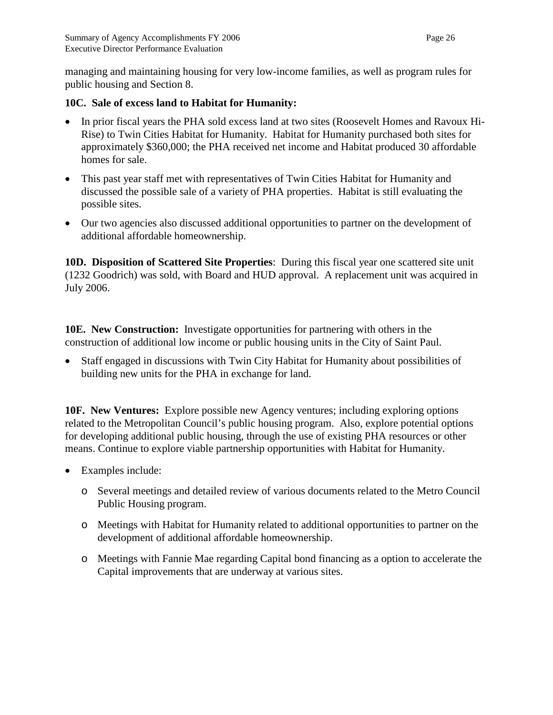managing and maintaining housing for very low-income families, as well as program rules for public housing and Section 8.

## **10C. Sale of excess land to Habitat for Humanity:**

- In prior fiscal years the PHA sold excess land at two sites (Roosevelt Homes and Ravoux Hi-Rise) to Twin Cities Habitat for Humanity. Habitat for Humanity purchased both sites for approximately \$360,000; the PHA received net income and Habitat produced 30 affordable homes for sale.
- This past year staff met with representatives of Twin Cities Habitat for Humanity and discussed the possible sale of a variety of PHA properties. Habitat is still evaluating the possible sites.
- Our two agencies also discussed additional opportunities to partner on the development of additional affordable homeownership.

**10D. Disposition of Scattered Site Properties**: During this fiscal year one scattered site unit (1232 Goodrich) was sold, with Board and HUD approval. A replacement unit was acquired in July 2006.

**10E. New Construction:** Investigate opportunities for partnering with others in the construction of additional low income or public housing units in the City of Saint Paul.

• Staff engaged in discussions with Twin City Habitat for Humanity about possibilities of building new units for the PHA in exchange for land.

**10F. New Ventures:** Explore possible new Agency ventures; including exploring options related to the Metropolitan Council's public housing program. Also, explore potential options for developing additional public housing, through the use of existing PHA resources or other means. Continue to explore viable partnership opportunities with Habitat for Humanity.

- Examples include:
	- o Several meetings and detailed review of various documents related to the Metro Council Public Housing program.
	- o Meetings with Habitat for Humanity related to additional opportunities to partner on the development of additional affordable homeownership.
	- o Meetings with Fannie Mae regarding Capital bond financing as a option to accelerate the Capital improvements that are underway at various sites.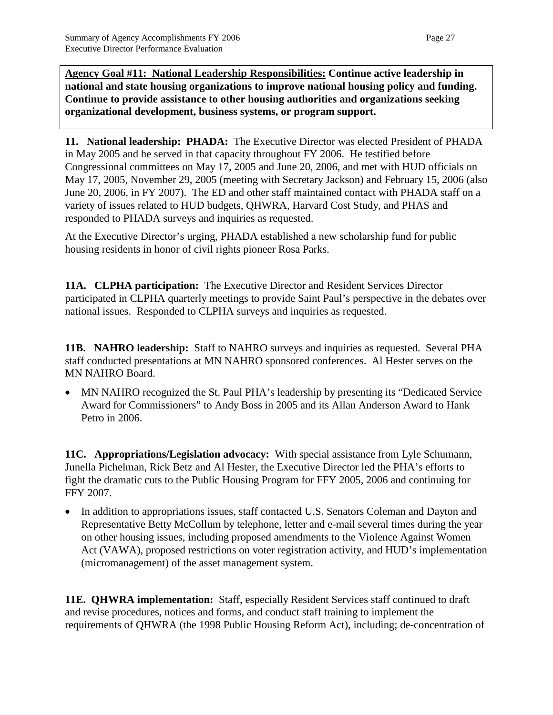**Agency Goal #11: National Leadership Responsibilities: Continue active leadership in national and state housing organizations to improve national housing policy and funding. Continue to provide assistance to other housing authorities and organizations seeking organizational development, business systems, or program support.**

**11. National leadership: PHADA:** The Executive Director was elected President of PHADA in May 2005 and he served in that capacity throughout FY 2006. He testified before Congressional committees on May 17, 2005 and June 20, 2006, and met with HUD officials on May 17, 2005, November 29, 2005 (meeting with Secretary Jackson) and February 15, 2006 (also June 20, 2006, in FY 2007). The ED and other staff maintained contact with PHADA staff on a variety of issues related to HUD budgets, QHWRA, Harvard Cost Study, and PHAS and responded to PHADA surveys and inquiries as requested.

At the Executive Director's urging, PHADA established a new scholarship fund for public housing residents in honor of civil rights pioneer Rosa Parks.

**11A. CLPHA participation:** The Executive Director and Resident Services Director participated in CLPHA quarterly meetings to provide Saint Paul's perspective in the debates over national issues. Responded to CLPHA surveys and inquiries as requested.

**11B. NAHRO leadership:** Staff to NAHRO surveys and inquiries as requested. Several PHA staff conducted presentations at MN NAHRO sponsored conferences. Al Hester serves on the MN NAHRO Board.

• MN NAHRO recognized the St. Paul PHA's leadership by presenting its "Dedicated Service" Award for Commissioners" to Andy Boss in 2005 and its Allan Anderson Award to Hank Petro in 2006.

**11C. Appropriations/Legislation advocacy:** With special assistance from Lyle Schumann, Junella Pichelman, Rick Betz and Al Hester, the Executive Director led the PHA's efforts to fight the dramatic cuts to the Public Housing Program for FFY 2005, 2006 and continuing for FFY 2007.

• In addition to appropriations issues, staff contacted U.S. Senators Coleman and Dayton and Representative Betty McCollum by telephone, letter and e-mail several times during the year on other housing issues, including proposed amendments to the Violence Against Women Act (VAWA), proposed restrictions on voter registration activity, and HUD's implementation (micromanagement) of the asset management system.

**11E. QHWRA implementation:** Staff, especially Resident Services staff continued to draft and revise procedures, notices and forms, and conduct staff training to implement the requirements of QHWRA (the 1998 Public Housing Reform Act), including; de-concentration of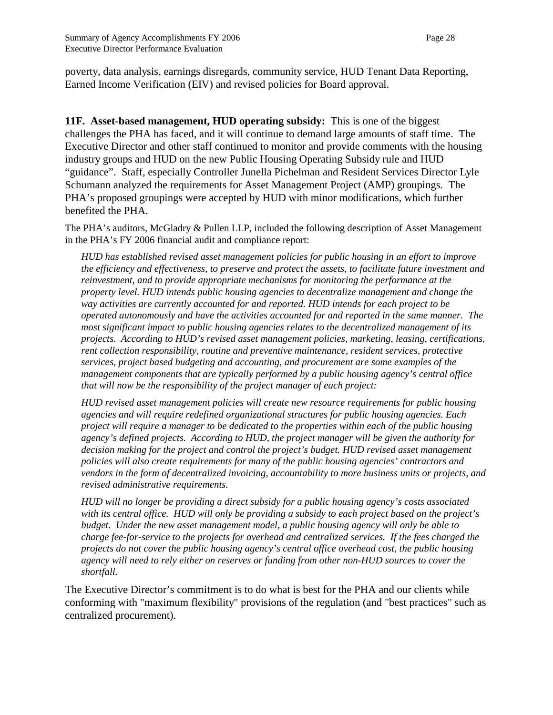poverty, data analysis, earnings disregards, community service, HUD Tenant Data Reporting, Earned Income Verification (EIV) and revised policies for Board approval.

**11F. Asset-based management, HUD operating subsidy:** This is one of the biggest challenges the PHA has faced, and it will continue to demand large amounts of staff time. The Executive Director and other staff continued to monitor and provide comments with the housing industry groups and HUD on the new Public Housing Operating Subsidy rule and HUD "guidance". Staff, especially Controller Junella Pichelman and Resident Services Director Lyle Schumann analyzed the requirements for Asset Management Project (AMP) groupings. The PHA's proposed groupings were accepted by HUD with minor modifications, which further benefited the PHA.

The PHA's auditors, McGladry & Pullen LLP, included the following description of Asset Management in the PHA's FY 2006 financial audit and compliance report:

*HUD has established revised asset management policies for public housing in an effort to improve the efficiency and effectiveness, to preserve and protect the assets, to facilitate future investment and reinvestment, and to provide appropriate mechanisms for monitoring the performance at the property level. HUD intends public housing agencies to decentralize management and change the way activities are currently accounted for and reported. HUD intends for each project to be operated autonomously and have the activities accounted for and reported in the same manner. The most significant impact to public housing agencies relates to the decentralized management of its projects. According to HUD's revised asset management policies, marketing, leasing, certifications, rent collection responsibility, routine and preventive maintenance, resident services, protective services, project based budgeting and accounting, and procurement are some examples of the management components that are typically performed by a public housing agency's central office that will now be the responsibility of the project manager of each project:*

*HUD revised asset management policies will create new resource requirements for public housing agencies and will require redefined organizational structures for public housing agencies. Each project will require a manager to be dedicated to the properties within each of the public housing agency's defined projects. According to HUD, the project manager will be given the authority for decision making for the project and control the project's budget. HUD revised asset management policies will also create requirements for many of the public housing agencies' contractors and vendors in the form of decentralized invoicing, accountability to more business units or projects, and revised administrative requirements.* 

*HUD will no longer be providing a direct subsidy for a public housing agency's costs associated with its central office. HUD will only be providing a subsidy to each project based on the project's budget. Under the new asset management model, a public housing agency will only be able to charge fee-for-service to the projects for overhead and centralized services. If the fees charged the projects do not cover the public housing agency's central office overhead cost, the public housing agency will need to rely either on reserves or funding from other non-HUD sources to cover the shortfall.* 

The Executive Director's commitment is to do what is best for the PHA and our clients while conforming with "maximum flexibility" provisions of the regulation (and "best practices" such as centralized procurement).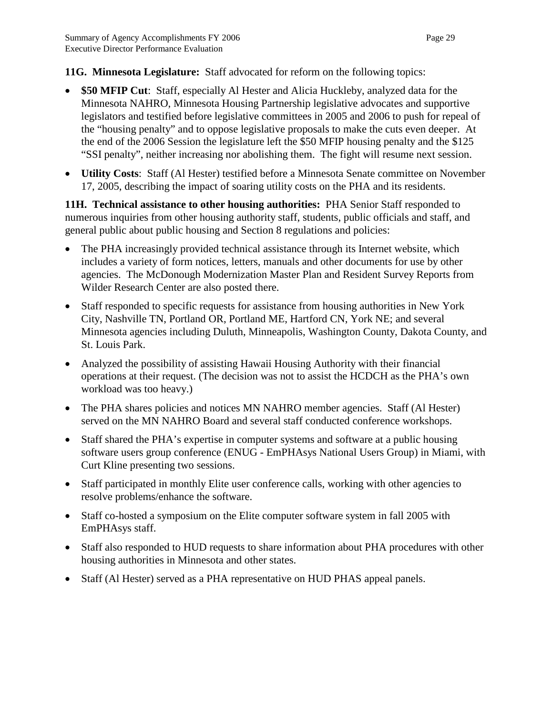#### **11G. Minnesota Legislature:** Staff advocated for reform on the following topics:

- **\$50 MFIP Cut**: Staff, especially Al Hester and Alicia Huckleby, analyzed data for the Minnesota NAHRO, Minnesota Housing Partnership legislative advocates and supportive legislators and testified before legislative committees in 2005 and 2006 to push for repeal of the "housing penalty" and to oppose legislative proposals to make the cuts even deeper. At the end of the 2006 Session the legislature left the \$50 MFIP housing penalty and the \$125 "SSI penalty", neither increasing nor abolishing them. The fight will resume next session.
- **Utility Costs**:Staff (Al Hester) testified before a Minnesota Senate committee on November 17, 2005, describing the impact of soaring utility costs on the PHA and its residents.

**11H. Technical assistance to other housing authorities:** PHA Senior Staff responded to numerous inquiries from other housing authority staff, students, public officials and staff, and general public about public housing and Section 8 regulations and policies:

- The PHA increasingly provided technical assistance through its Internet website, which includes a variety of form notices, letters, manuals and other documents for use by other agencies. The McDonough Modernization Master Plan and Resident Survey Reports from Wilder Research Center are also posted there.
- Staff responded to specific requests for assistance from housing authorities in New York City, Nashville TN, Portland OR, Portland ME, Hartford CN, York NE; and several Minnesota agencies including Duluth, Minneapolis, Washington County, Dakota County, and St. Louis Park.
- Analyzed the possibility of assisting Hawaii Housing Authority with their financial operations at their request. (The decision was not to assist the HCDCH as the PHA's own workload was too heavy.)
- The PHA shares policies and notices MN NAHRO member agencies. Staff (Al Hester) served on the MN NAHRO Board and several staff conducted conference workshops.
- Staff shared the PHA's expertise in computer systems and software at a public housing software users group conference (ENUG - EmPHAsys National Users Group) in Miami, with Curt Kline presenting two sessions.
- Staff participated in monthly Elite user conference calls, working with other agencies to resolve problems/enhance the software.
- Staff co-hosted a symposium on the Elite computer software system in fall 2005 with EmPHAsys staff.
- Staff also responded to HUD requests to share information about PHA procedures with other housing authorities in Minnesota and other states.
- Staff (Al Hester) served as a PHA representative on HUD PHAS appeal panels.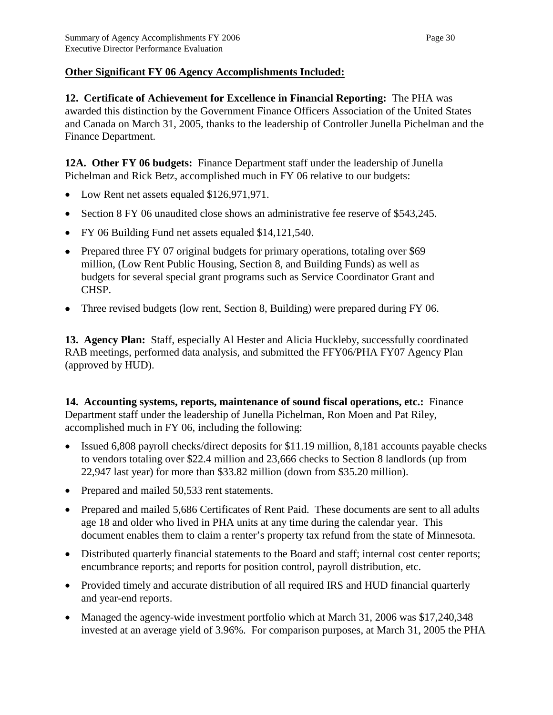## **Other Significant FY 06 Agency Accomplishments Included:**

**12. Certificate of Achievement for Excellence in Financial Reporting:** The PHA was awarded this distinction by the Government Finance Officers Association of the United States and Canada on March 31, 2005, thanks to the leadership of Controller Junella Pichelman and the Finance Department.

**12A. Other FY 06 budgets:** Finance Department staff under the leadership of Junella Pichelman and Rick Betz, accomplished much in FY 06 relative to our budgets:

- Low Rent net assets equaled \$126,971,971.
- Section 8 FY 06 unaudited close shows an administrative fee reserve of \$543,245.
- FY 06 Building Fund net assets equaled \$14,121,540.
- Prepared three FY 07 original budgets for primary operations, totaling over \$69 million, (Low Rent Public Housing, Section 8, and Building Funds) as well as budgets for several special grant programs such as Service Coordinator Grant and CHSP.
- Three revised budgets (low rent, Section 8, Building) were prepared during FY 06.

**13. Agency Plan:** Staff, especially Al Hester and Alicia Huckleby, successfully coordinated RAB meetings, performed data analysis, and submitted the FFY06/PHA FY07 Agency Plan (approved by HUD).

**14. Accounting systems, reports, maintenance of sound fiscal operations, etc.:** Finance Department staff under the leadership of Junella Pichelman, Ron Moen and Pat Riley, accomplished much in FY 06*,* including the following:

- Issued 6,808 payroll checks/direct deposits for \$11.19 million, 8,181 accounts payable checks to vendors totaling over \$22.4 million and 23,666 checks to Section 8 landlords (up from 22,947 last year) for more than \$33.82 million (down from \$35.20 million).
- Prepared and mailed 50,533 rent statements.
- Prepared and mailed 5,686 Certificates of Rent Paid. These documents are sent to all adults age 18 and older who lived in PHA units at any time during the calendar year. This document enables them to claim a renter's property tax refund from the state of Minnesota.
- Distributed quarterly financial statements to the Board and staff; internal cost center reports; encumbrance reports; and reports for position control, payroll distribution, etc.
- Provided timely and accurate distribution of all required IRS and HUD financial quarterly and year-end reports.
- Managed the agency-wide investment portfolio which at March 31, 2006 was \$17,240,348 invested at an average yield of 3.96%. For comparison purposes, at March 31, 2005 the PHA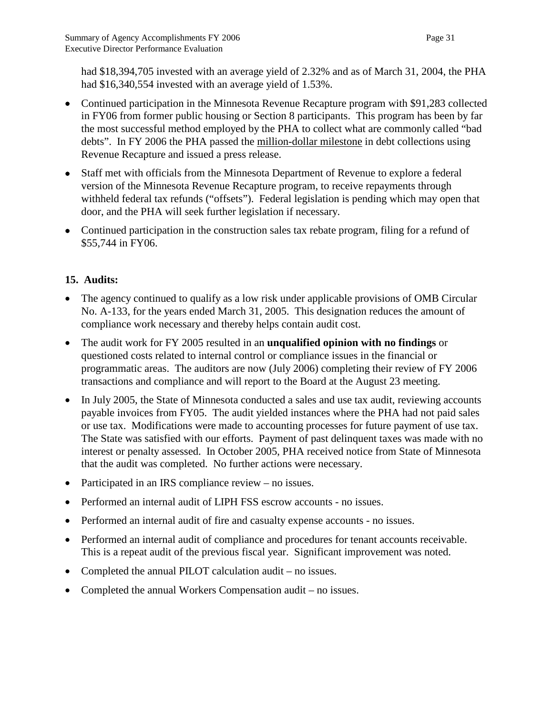had \$18,394,705 invested with an average yield of 2.32% and as of March 31, 2004, the PHA had \$16,340,554 invested with an average yield of 1.53%.

- Continued participation in the Minnesota Revenue Recapture program with \$91,283 collected in FY06 from former public housing or Section 8 participants. This program has been by far the most successful method employed by the PHA to collect what are commonly called "bad debts". In FY 2006 the PHA passed the million-dollar milestone in debt collections using Revenue Recapture and issued a press release.
- Staff met with officials from the Minnesota Department of Revenue to explore a federal version of the Minnesota Revenue Recapture program, to receive repayments through withheld federal tax refunds ("offsets"). Federal legislation is pending which may open that door, and the PHA will seek further legislation if necessary.
- Continued participation in the construction sales tax rebate program, filing for a refund of \$55,744 in FY06.

# **15. Audits:**

- The agency continued to qualify as a low risk under applicable provisions of OMB Circular No. A-133, for the years ended March 31, 2005. This designation reduces the amount of compliance work necessary and thereby helps contain audit cost.
- The audit work for FY 2005 resulted in an **unqualified opinion with no findings** or questioned costs related to internal control or compliance issues in the financial or programmatic areas. The auditors are now (July 2006) completing their review of FY 2006 transactions and compliance and will report to the Board at the August 23 meeting.
- In July 2005, the State of Minnesota conducted a sales and use tax audit, reviewing accounts payable invoices from FY05. The audit yielded instances where the PHA had not paid sales or use tax. Modifications were made to accounting processes for future payment of use tax. The State was satisfied with our efforts. Payment of past delinquent taxes was made with no interest or penalty assessed. In October 2005, PHA received notice from State of Minnesota that the audit was completed. No further actions were necessary.
- Participated in an IRS compliance review no issues.
- Performed an internal audit of LIPH FSS escrow accounts no issues.
- Performed an internal audit of fire and casualty expense accounts no issues.
- Performed an internal audit of compliance and procedures for tenant accounts receivable. This is a repeat audit of the previous fiscal year. Significant improvement was noted.
- Completed the annual PILOT calculation audit no issues.
- Completed the annual Workers Compensation audit no issues.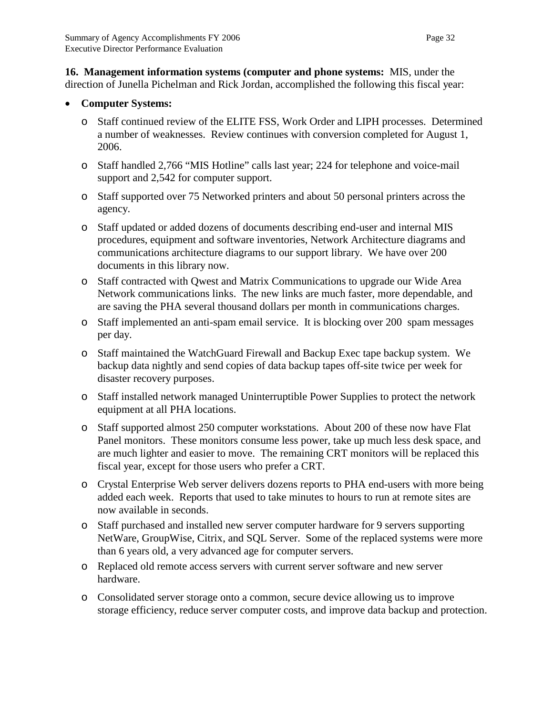**16. Management information systems (computer and phone systems:** MIS, under the direction of Junella Pichelman and Rick Jordan, accomplished the following this fiscal year:

## • **Computer Systems:**

- o Staff continued review of the ELITE FSS, Work Order and LIPH processes. Determined a number of weaknesses. Review continues with conversion completed for August 1, 2006.
- o Staff handled 2,766 "MIS Hotline" calls last year; 224 for telephone and voice-mail support and 2,542 for computer support.
- o Staff supported over 75 Networked printers and about 50 personal printers across the agency.
- o Staff updated or added dozens of documents describing end-user and internal MIS procedures, equipment and software inventories, Network Architecture diagrams and communications architecture diagrams to our support library. We have over 200 documents in this library now.
- o Staff contracted with Qwest and Matrix Communications to upgrade our Wide Area Network communications links. The new links are much faster, more dependable, and are saving the PHA several thousand dollars per month in communications charges.
- o Staff implemented an anti-spam email service. It is blocking over 200 spam messages per day.
- o Staff maintained the WatchGuard Firewall and Backup Exec tape backup system. We backup data nightly and send copies of data backup tapes off-site twice per week for disaster recovery purposes.
- o Staff installed network managed Uninterruptible Power Supplies to protect the network equipment at all PHA locations.
- o Staff supported almost 250 computer workstations. About 200 of these now have Flat Panel monitors. These monitors consume less power, take up much less desk space, and are much lighter and easier to move. The remaining CRT monitors will be replaced this fiscal year, except for those users who prefer a CRT.
- o Crystal Enterprise Web server delivers dozens reports to PHA end-users with more being added each week. Reports that used to take minutes to hours to run at remote sites are now available in seconds.
- o Staff purchased and installed new server computer hardware for 9 servers supporting NetWare, GroupWise, Citrix, and SQL Server. Some of the replaced systems were more than 6 years old, a very advanced age for computer servers.
- o Replaced old remote access servers with current server software and new server hardware.
- o Consolidated server storage onto a common, secure device allowing us to improve storage efficiency, reduce server computer costs, and improve data backup and protection.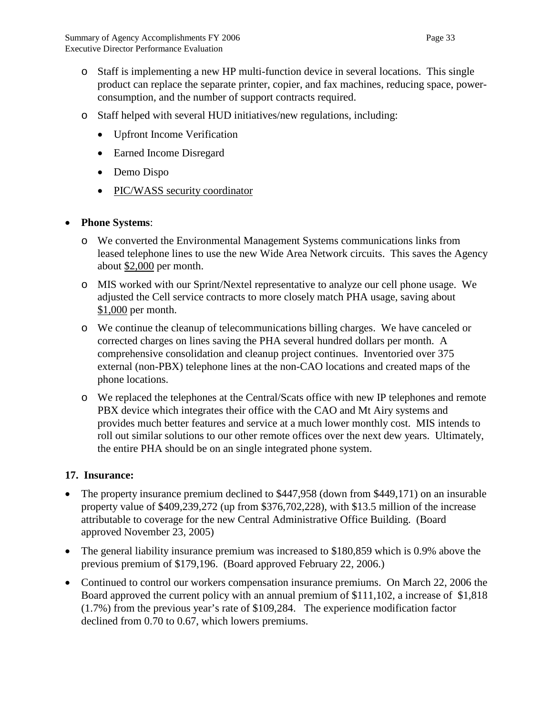- o Staff is implementing a new HP multi-function device in several locations. This single product can replace the separate printer, copier, and fax machines, reducing space, powerconsumption, and the number of support contracts required.
- o Staff helped with several HUD initiatives/new regulations, including:
	- Upfront Income Verification
	- Earned Income Disregard
	- Demo Dispo
	- PIC/WASS security coordinator

## • **Phone Systems**:

- o We converted the Environmental Management Systems communications links from leased telephone lines to use the new Wide Area Network circuits. This saves the Agency about \$2,000 per month.
- o MIS worked with our Sprint/Nextel representative to analyze our cell phone usage. We adjusted the Cell service contracts to more closely match PHA usage, saving about \$1,000 per month.
- o We continue the cleanup of telecommunications billing charges. We have canceled or corrected charges on lines saving the PHA several hundred dollars per month. A comprehensive consolidation and cleanup project continues. Inventoried over 375 external (non-PBX) telephone lines at the non-CAO locations and created maps of the phone locations.
- o We replaced the telephones at the Central/Scats office with new IP telephones and remote PBX device which integrates their office with the CAO and Mt Airy systems and provides much better features and service at a much lower monthly cost. MIS intends to roll out similar solutions to our other remote offices over the next dew years. Ultimately, the entire PHA should be on an single integrated phone system.

## **17. Insurance:**

- The property insurance premium declined to \$447,958 (down from \$449,171) on an insurable property value of \$409,239,272 (up from \$376,702,228), with \$13.5 million of the increase attributable to coverage for the new Central Administrative Office Building. (Board approved November 23, 2005)
- The general liability insurance premium was increased to \$180,859 which is 0.9% above the previous premium of \$179,196. (Board approved February 22, 2006.)
- Continued to control our workers compensation insurance premiums. On March 22, 2006 the Board approved the current policy with an annual premium of \$111,102, a increase of \$1,818 (1.7%) from the previous year's rate of \$109,284. The experience modification factor declined from 0.70 to 0.67, which lowers premiums.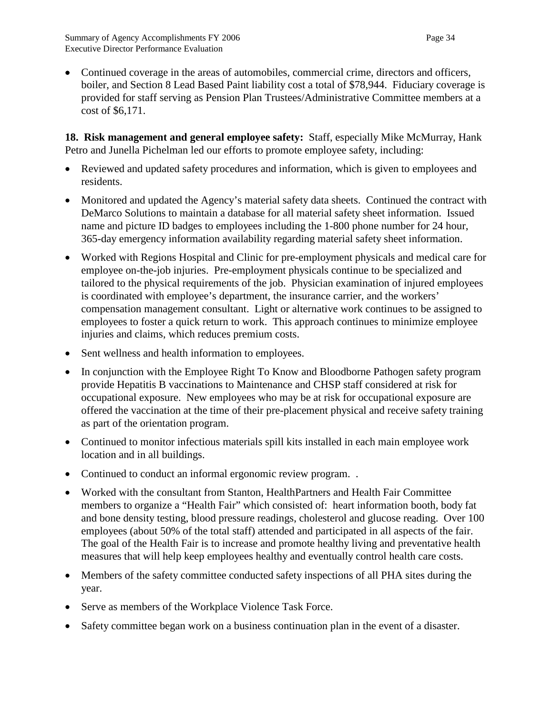• Continued coverage in the areas of automobiles, commercial crime, directors and officers, boiler, and Section 8 Lead Based Paint liability cost a total of \$78,944. Fiduciary coverage is provided for staff serving as Pension Plan Trustees/Administrative Committee members at a cost of \$6,171.

**18. Risk management and general employee safety:** Staff, especially Mike McMurray, Hank Petro and Junella Pichelman led our efforts to promote employee safety, including:

- Reviewed and updated safety procedures and information, which is given to employees and residents.
- Monitored and updated the Agency's material safety data sheets. Continued the contract with DeMarco Solutions to maintain a database for all material safety sheet information. Issued name and picture ID badges to employees including the 1-800 phone number for 24 hour, 365-day emergency information availability regarding material safety sheet information.
- Worked with Regions Hospital and Clinic for pre-employment physicals and medical care for employee on-the-job injuries. Pre-employment physicals continue to be specialized and tailored to the physical requirements of the job. Physician examination of injured employees is coordinated with employee's department, the insurance carrier, and the workers' compensation management consultant. Light or alternative work continues to be assigned to employees to foster a quick return to work. This approach continues to minimize employee injuries and claims, which reduces premium costs.
- Sent wellness and health information to employees.
- In conjunction with the Employee Right To Know and Bloodborne Pathogen safety program provide Hepatitis B vaccinations to Maintenance and CHSP staff considered at risk for occupational exposure. New employees who may be at risk for occupational exposure are offered the vaccination at the time of their pre-placement physical and receive safety training as part of the orientation program.
- Continued to monitor infectious materials spill kits installed in each main employee work location and in all buildings.
- Continued to conduct an informal ergonomic review program. .
- Worked with the consultant from Stanton, HealthPartners and Health Fair Committee members to organize a "Health Fair" which consisted of: heart information booth, body fat and bone density testing, blood pressure readings, cholesterol and glucose reading. Over 100 employees (about 50% of the total staff) attended and participated in all aspects of the fair. The goal of the Health Fair is to increase and promote healthy living and preventative health measures that will help keep employees healthy and eventually control health care costs.
- Members of the safety committee conducted safety inspections of all PHA sites during the year.
- Serve as members of the Workplace Violence Task Force.
- Safety committee began work on a business continuation plan in the event of a disaster.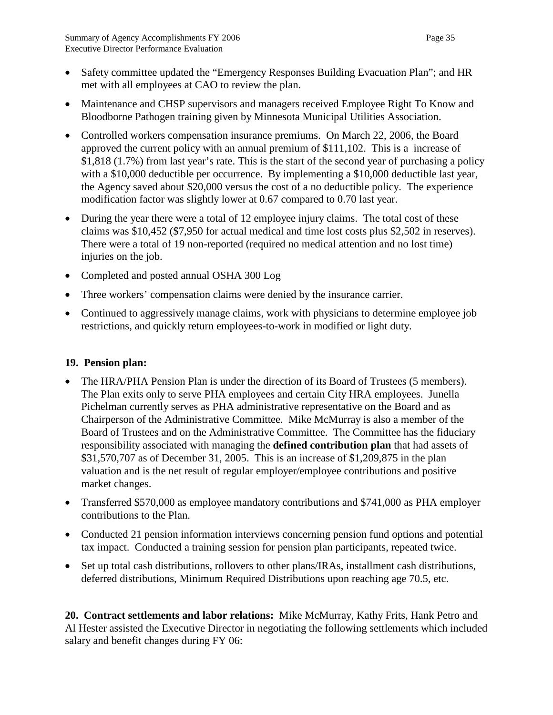- Safety committee updated the "Emergency Responses Building Evacuation Plan"; and HR met with all employees at CAO to review the plan.
- Maintenance and CHSP supervisors and managers received Employee Right To Know and Bloodborne Pathogen training given by Minnesota Municipal Utilities Association.
- Controlled workers compensation insurance premiums. On March 22, 2006, the Board approved the current policy with an annual premium of \$111,102. This is a increase of \$1,818 (1.7%) from last year's rate. This is the start of the second year of purchasing a policy with a \$10,000 deductible per occurrence. By implementing a \$10,000 deductible last year, the Agency saved about \$20,000 versus the cost of a no deductible policy. The experience modification factor was slightly lower at 0.67 compared to 0.70 last year.
- During the year there were a total of 12 employee injury claims. The total cost of these claims was \$10,452 (\$7,950 for actual medical and time lost costs plus \$2,502 in reserves). There were a total of 19 non-reported (required no medical attention and no lost time) injuries on the job.
- Completed and posted annual OSHA 300 Log
- Three workers' compensation claims were denied by the insurance carrier.
- Continued to aggressively manage claims, work with physicians to determine employee job restrictions, and quickly return employees-to-work in modified or light duty.

## **19. Pension plan:**

- The HRA/PHA Pension Plan is under the direction of its Board of Trustees (5 members). The Plan exits only to serve PHA employees and certain City HRA employees. Junella Pichelman currently serves as PHA administrative representative on the Board and as Chairperson of the Administrative Committee. Mike McMurray is also a member of the Board of Trustees and on the Administrative Committee. The Committee has the fiduciary responsibility associated with managing the **defined contribution plan** that had assets of \$31,570,707 as of December 31, 2005. This is an increase of \$1,209,875 in the plan valuation and is the net result of regular employer/employee contributions and positive market changes.
- Transferred \$570,000 as employee mandatory contributions and \$741,000 as PHA employer contributions to the Plan.
- Conducted 21 pension information interviews concerning pension fund options and potential tax impact. Conducted a training session for pension plan participants, repeated twice.
- Set up total cash distributions, rollovers to other plans/IRAs, installment cash distributions, deferred distributions, Minimum Required Distributions upon reaching age 70.5, etc.

**20. Contract settlements and labor relations:** Mike McMurray, Kathy Frits, Hank Petro and Al Hester assisted the Executive Director in negotiating the following settlements which included salary and benefit changes during FY 06: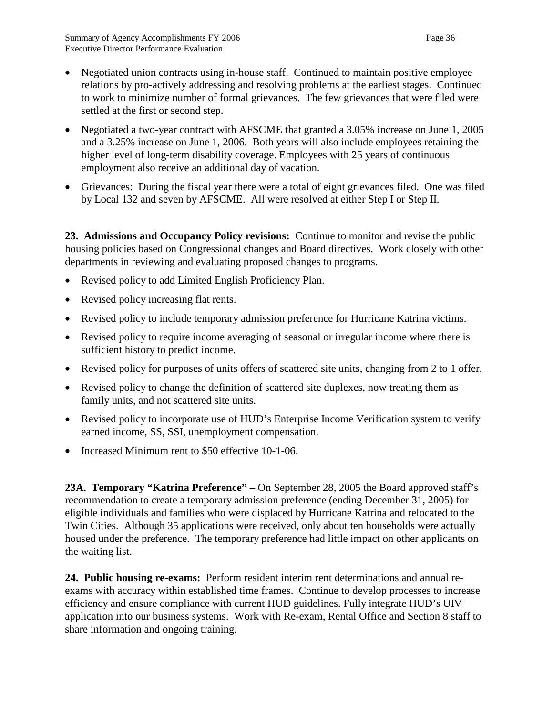- Negotiated union contracts using in-house staff. Continued to maintain positive employee relations by pro-actively addressing and resolving problems at the earliest stages. Continued to work to minimize number of formal grievances. The few grievances that were filed were settled at the first or second step.
- Negotiated a two-year contract with AFSCME that granted a 3.05% increase on June 1, 2005 and a 3.25% increase on June 1, 2006. Both years will also include employees retaining the higher level of long-term disability coverage. Employees with 25 years of continuous employment also receive an additional day of vacation.
- Grievances: During the fiscal year there were a total of eight grievances filed. One was filed by Local 132 and seven by AFSCME. All were resolved at either Step I or Step II.

**23. Admissions and Occupancy Policy revisions:** Continue to monitor and revise the public housing policies based on Congressional changes and Board directives. Work closely with other departments in reviewing and evaluating proposed changes to programs.

- Revised policy to add Limited English Proficiency Plan.
- Revised policy increasing flat rents.
- Revised policy to include temporary admission preference for Hurricane Katrina victims.
- Revised policy to require income averaging of seasonal or irregular income where there is sufficient history to predict income.
- Revised policy for purposes of units offers of scattered site units, changing from 2 to 1 offer.
- Revised policy to change the definition of scattered site duplexes, now treating them as family units, and not scattered site units.
- Revised policy to incorporate use of HUD's Enterprise Income Verification system to verify earned income, SS, SSI, unemployment compensation.
- Increased Minimum rent to \$50 effective 10-1-06.

**23A. Temporary "Katrina Preference" –** On September 28, 2005 the Board approved staff's recommendation to create a temporary admission preference (ending December 31, 2005) for eligible individuals and families who were displaced by Hurricane Katrina and relocated to the Twin Cities. Although 35 applications were received, only about ten households were actually housed under the preference. The temporary preference had little impact on other applicants on the waiting list.

**24. Public housing re-exams:** Perform resident interim rent determinations and annual reexams with accuracy within established time frames. Continue to develop processes to increase efficiency and ensure compliance with current HUD guidelines. Fully integrate HUD's UIV application into our business systems. Work with Re-exam, Rental Office and Section 8 staff to share information and ongoing training.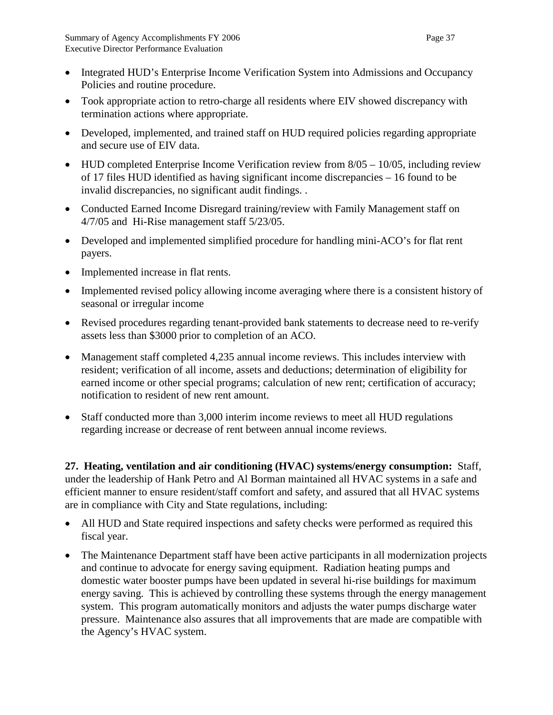- Integrated HUD's Enterprise Income Verification System into Admissions and Occupancy Policies and routine procedure.
- Took appropriate action to retro-charge all residents where EIV showed discrepancy with termination actions where appropriate.
- Developed, implemented, and trained staff on HUD required policies regarding appropriate and secure use of EIV data.
- HUD completed Enterprise Income Verification review from  $8/05 10/05$ , including review of 17 files HUD identified as having significant income discrepancies – 16 found to be invalid discrepancies, no significant audit findings. .
- Conducted Earned Income Disregard training/review with Family Management staff on 4/7/05 and Hi-Rise management staff 5/23/05.
- Developed and implemented simplified procedure for handling mini-ACO's for flat rent payers.
- Implemented increase in flat rents.
- Implemented revised policy allowing income averaging where there is a consistent history of seasonal or irregular income
- Revised procedures regarding tenant-provided bank statements to decrease need to re-verify assets less than \$3000 prior to completion of an ACO.
- Management staff completed 4,235 annual income reviews. This includes interview with resident; verification of all income, assets and deductions; determination of eligibility for earned income or other special programs; calculation of new rent; certification of accuracy; notification to resident of new rent amount.
- Staff conducted more than 3,000 interim income reviews to meet all HUD regulations regarding increase or decrease of rent between annual income reviews.

**27. Heating, ventilation and air conditioning (HVAC) systems/energy consumption:** Staff, under the leadership of Hank Petro and Al Borman maintained all HVAC systems in a safe and efficient manner to ensure resident/staff comfort and safety, and assured that all HVAC systems are in compliance with City and State regulations, including:

- All HUD and State required inspections and safety checks were performed as required this fiscal year.
- The Maintenance Department staff have been active participants in all modernization projects and continue to advocate for energy saving equipment. Radiation heating pumps and domestic water booster pumps have been updated in several hi-rise buildings for maximum energy saving. This is achieved by controlling these systems through the energy management system. This program automatically monitors and adjusts the water pumps discharge water pressure. Maintenance also assures that all improvements that are made are compatible with the Agency's HVAC system.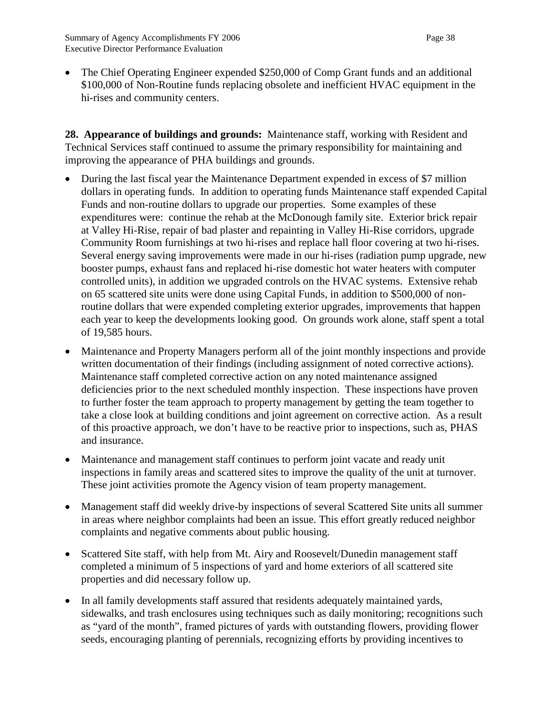• The Chief Operating Engineer expended \$250,000 of Comp Grant funds and an additional \$100,000 of Non-Routine funds replacing obsolete and inefficient HVAC equipment in the hi-rises and community centers.

**28. Appearance of buildings and grounds:** Maintenance staff, working with Resident and Technical Services staff continued to assume the primary responsibility for maintaining and improving the appearance of PHA buildings and grounds.

- During the last fiscal year the Maintenance Department expended in excess of \$7 million dollars in operating funds. In addition to operating funds Maintenance staff expended Capital Funds and non-routine dollars to upgrade our properties. Some examples of these expenditures were: continue the rehab at the McDonough family site. Exterior brick repair at Valley Hi-Rise, repair of bad plaster and repainting in Valley Hi-Rise corridors, upgrade Community Room furnishings at two hi-rises and replace hall floor covering at two hi-rises. Several energy saving improvements were made in our hi-rises (radiation pump upgrade, new booster pumps, exhaust fans and replaced hi-rise domestic hot water heaters with computer controlled units), in addition we upgraded controls on the HVAC systems. Extensive rehab on 65 scattered site units were done using Capital Funds, in addition to \$500,000 of nonroutine dollars that were expended completing exterior upgrades, improvements that happen each year to keep the developments looking good. On grounds work alone, staff spent a total of 19,585 hours.
- Maintenance and Property Managers perform all of the joint monthly inspections and provide written documentation of their findings (including assignment of noted corrective actions). Maintenance staff completed corrective action on any noted maintenance assigned deficiencies prior to the next scheduled monthly inspection. These inspections have proven to further foster the team approach to property management by getting the team together to take a close look at building conditions and joint agreement on corrective action. As a result of this proactive approach, we don't have to be reactive prior to inspections, such as, PHAS and insurance.
- Maintenance and management staff continues to perform joint vacate and ready unit inspections in family areas and scattered sites to improve the quality of the unit at turnover. These joint activities promote the Agency vision of team property management.
- Management staff did weekly drive-by inspections of several Scattered Site units all summer in areas where neighbor complaints had been an issue. This effort greatly reduced neighbor complaints and negative comments about public housing.
- Scattered Site staff, with help from Mt. Airy and Roosevelt/Dunedin management staff completed a minimum of 5 inspections of yard and home exteriors of all scattered site properties and did necessary follow up.
- In all family developments staff assured that residents adequately maintained yards, sidewalks, and trash enclosures using techniques such as daily monitoring; recognitions such as "yard of the month", framed pictures of yards with outstanding flowers, providing flower seeds, encouraging planting of perennials, recognizing efforts by providing incentives to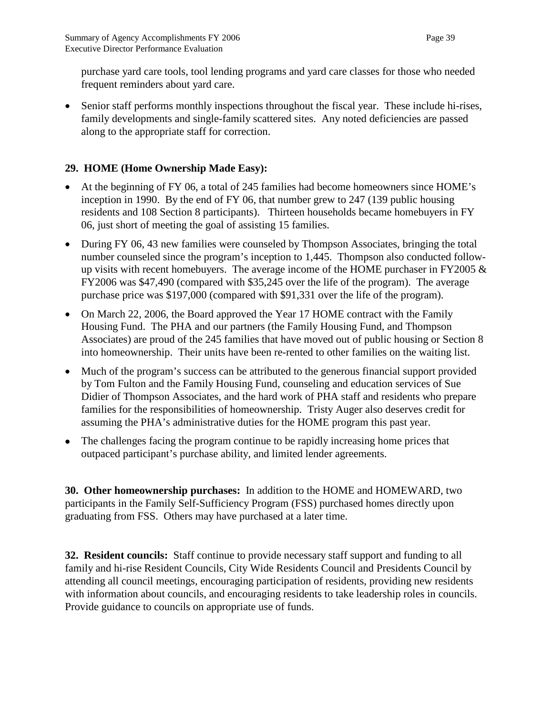purchase yard care tools, tool lending programs and yard care classes for those who needed frequent reminders about yard care.

• Senior staff performs monthly inspections throughout the fiscal year. These include hi-rises, family developments and single-family scattered sites. Any noted deficiencies are passed along to the appropriate staff for correction.

## **29. HOME (Home Ownership Made Easy):**

- At the beginning of FY 06, a total of 245 families had become homeowners since HOME's inception in 1990. By the end of FY 06, that number grew to 247 (139 public housing residents and 108 Section 8 participants). Thirteen households became homebuyers in FY 06, just short of meeting the goal of assisting 15 families.
- During FY 06, 43 new families were counseled by Thompson Associates, bringing the total number counseled since the program's inception to 1,445. Thompson also conducted followup visits with recent homebuyers. The average income of the HOME purchaser in FY2005  $\&$ FY2006 was \$47,490 (compared with \$35,245 over the life of the program). The average purchase price was \$197,000 (compared with \$91,331 over the life of the program).
- On March 22, 2006, the Board approved the Year 17 HOME contract with the Family Housing Fund. The PHA and our partners (the Family Housing Fund, and Thompson Associates) are proud of the 245 families that have moved out of public housing or Section 8 into homeownership. Their units have been re-rented to other families on the waiting list.
- Much of the program's success can be attributed to the generous financial support provided by Tom Fulton and the Family Housing Fund, counseling and education services of Sue Didier of Thompson Associates, and the hard work of PHA staff and residents who prepare families for the responsibilities of homeownership. Tristy Auger also deserves credit for assuming the PHA's administrative duties for the HOME program this past year.
- The challenges facing the program continue to be rapidly increasing home prices that outpaced participant's purchase ability, and limited lender agreements.

**30. Other homeownership purchases:** In addition to the HOME and HOMEWARD, two participants in the Family Self-Sufficiency Program (FSS) purchased homes directly upon graduating from FSS. Others may have purchased at a later time.

**32. Resident councils:** Staff continue to provide necessary staff support and funding to all family and hi-rise Resident Councils, City Wide Residents Council and Presidents Council by attending all council meetings, encouraging participation of residents, providing new residents with information about councils, and encouraging residents to take leadership roles in councils. Provide guidance to councils on appropriate use of funds.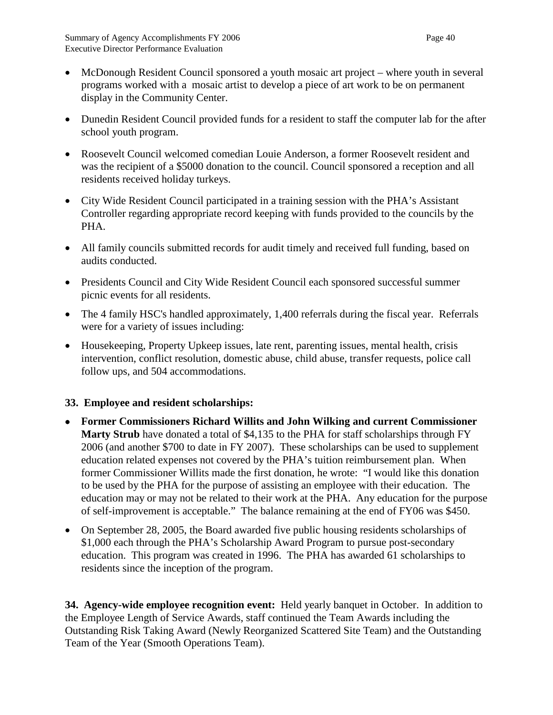- McDonough Resident Council sponsored a youth mosaic art project where youth in several programs worked with a mosaic artist to develop a piece of art work to be on permanent display in the Community Center.
- Dunedin Resident Council provided funds for a resident to staff the computer lab for the after school youth program.
- Roosevelt Council welcomed comedian Louie Anderson, a former Roosevelt resident and was the recipient of a \$5000 donation to the council. Council sponsored a reception and all residents received holiday turkeys.
- City Wide Resident Council participated in a training session with the PHA's Assistant Controller regarding appropriate record keeping with funds provided to the councils by the PHA.
- All family councils submitted records for audit timely and received full funding, based on audits conducted.
- Presidents Council and City Wide Resident Council each sponsored successful summer picnic events for all residents.
- The 4 family HSC's handled approximately, 1,400 referrals during the fiscal year. Referrals were for a variety of issues including:
- Housekeeping, Property Upkeep issues, late rent, parenting issues, mental health, crisis intervention, conflict resolution, domestic abuse, child abuse, transfer requests, police call follow ups, and 504 accommodations.

## **33. Employee and resident scholarships:**

- **Former Commissioners Richard Willits and John Wilking and current Commissioner Marty Strub** have donated a total of \$4,135 to the PHA for staff scholarships through FY 2006 (and another \$700 to date in FY 2007). These scholarships can be used to supplement education related expenses not covered by the PHA's tuition reimbursement plan. When former Commissioner Willits made the first donation, he wrote: "I would like this donation to be used by the PHA for the purpose of assisting an employee with their education. The education may or may not be related to their work at the PHA. Any education for the purpose of self-improvement is acceptable." The balance remaining at the end of FY06 was \$450.
- On September 28, 2005, the Board awarded five public housing residents scholarships of \$1,000 each through the PHA's Scholarship Award Program to pursue post-secondary education. This program was created in 1996. The PHA has awarded 61 scholarships to residents since the inception of the program.

**34. Agency-wide employee recognition event:** Held yearly banquet in October. In addition to the Employee Length of Service Awards, staff continued the Team Awards including the Outstanding Risk Taking Award (Newly Reorganized Scattered Site Team) and the Outstanding Team of the Year (Smooth Operations Team).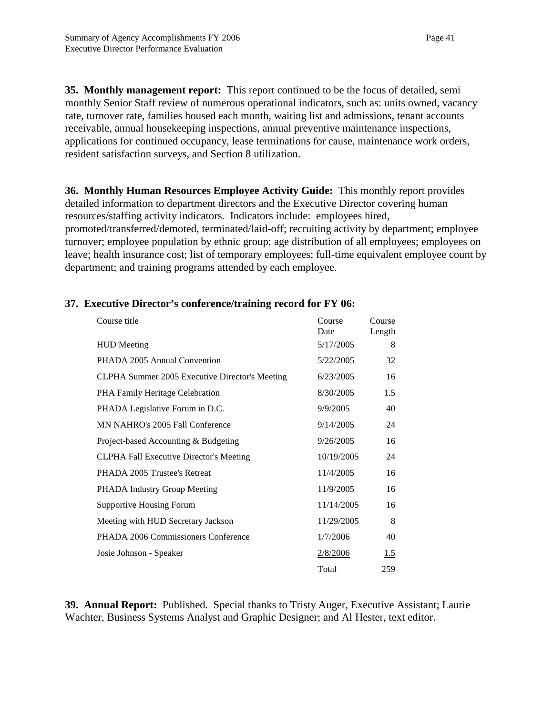**35. Monthly management report:** This report continued to be the focus of detailed, semi monthly Senior Staff review of numerous operational indicators, such as: units owned, vacancy rate, turnover rate, families housed each month, waiting list and admissions, tenant accounts receivable, annual housekeeping inspections, annual preventive maintenance inspections, applications for continued occupancy, lease terminations for cause, maintenance work orders, resident satisfaction surveys, and Section 8 utilization.

**36. Monthly Human Resources Employee Activity Guide:** This monthly report provides detailed information to department directors and the Executive Director covering human resources/staffing activity indicators. Indicators include: employees hired, promoted/transferred/demoted, terminated/laid-off; recruiting activity by department; employee turnover; employee population by ethnic group; age distribution of all employees; employees on leave; health insurance cost; list of temporary employees; full-time equivalent employee count by department; and training programs attended by each employee.

| Course title                                   | Course     | Course |
|------------------------------------------------|------------|--------|
|                                                | Date       | Length |
| <b>HUD</b> Meeting                             | 5/17/2005  | 8      |
| PHADA 2005 Annual Convention                   | 5/22/2005  | 32     |
| CLPHA Summer 2005 Executive Director's Meeting | 6/23/2005  | 16     |
| PHA Family Heritage Celebration                | 8/30/2005  | 1.5    |
| PHADA Legislative Forum in D.C.                | 9/9/2005   | 40     |
| MN NAHRO's 2005 Fall Conference                | 9/14/2005  | 24     |
| Project-based Accounting & Budgeting           | 9/26/2005  | 16     |
| <b>CLPHA Fall Executive Director's Meeting</b> | 10/19/2005 | 24     |
| PHADA 2005 Trustee's Retreat                   | 11/4/2005  | 16     |
| PHADA Industry Group Meeting                   | 11/9/2005  | 16     |
| <b>Supportive Housing Forum</b>                | 11/14/2005 | 16     |
| Meeting with HUD Secretary Jackson             | 11/29/2005 | 8      |
| PHADA 2006 Commissioners Conference            | 1/7/2006   | 40     |
| Josie Johnson - Speaker                        | 2/8/2006   | 1.5    |
|                                                | Total      | 259    |

## **37. Executive Director's conference/training record for FY 06:**

**39. Annual Report:** Published. Special thanks to Tristy Auger, Executive Assistant; Laurie Wachter, Business Systems Analyst and Graphic Designer; and Al Hester, text editor.